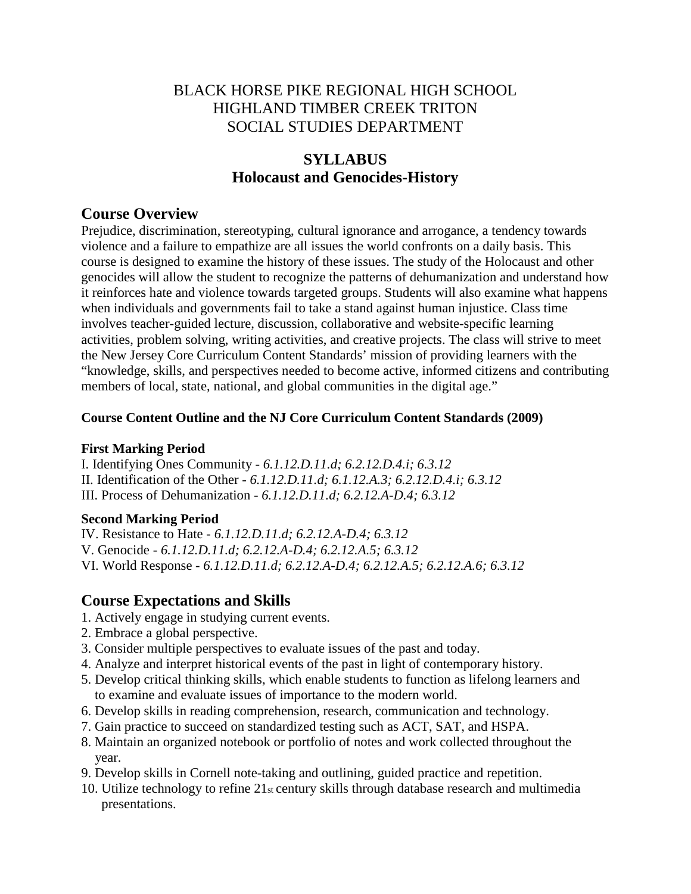# BLACK HORSE PIKE REGIONAL HIGH SCHOOL HIGHLAND TIMBER CREEK TRITON SOCIAL STUDIES DEPARTMENT

# **SYLLABUS Holocaust and Genocides-History**

# **Course Overview**

Prejudice, discrimination, stereotyping, cultural ignorance and arrogance, a tendency towards violence and a failure to empathize are all issues the world confronts on a daily basis. This course is designed to examine the history of these issues. The study of the Holocaust and other genocides will allow the student to recognize the patterns of dehumanization and understand how it reinforces hate and violence towards targeted groups. Students will also examine what happens when individuals and governments fail to take a stand against human injustice. Class time involves teacher-guided lecture, discussion, collaborative and website-specific learning activities, problem solving, writing activities, and creative projects. The class will strive to meet the New Jersey Core Curriculum Content Standards' mission of providing learners with the "knowledge, skills, and perspectives needed to become active, informed citizens and contributing members of local, state, national, and global communities in the digital age."

## **Course Content Outline and the NJ Core Curriculum Content Standards (2009)**

### **First Marking Period**

I. Identifying Ones Community - *6.1.12.D.11.d; 6.2.12.D.4.i; 6.3.12* II. Identification of the Other - *6.1.12.D.11.d; 6.1.12.A.3; 6.2.12.D.4.i; 6.3.12* III. Process of Dehumanization - *6.1.12.D.11.d; 6.2.12.A-D.4; 6.3.12*

# **Second Marking Period**

IV. Resistance to Hate - *6.1.12.D.11.d; 6.2.12.A-D.4; 6.3.12*

V. Genocide - *6.1.12.D.11.d; 6.2.12.A-D.4; 6.2.12.A.5; 6.3.12*

VI. World Response - *6.1.12.D.11.d; 6.2.12.A-D.4; 6.2.12.A.5; 6.2.12.A.6; 6.3.12*

# **Course Expectations and Skills**

- 1. Actively engage in studying current events.
- 2. Embrace a global perspective.
- 3. Consider multiple perspectives to evaluate issues of the past and today.
- 4. Analyze and interpret historical events of the past in light of contemporary history.
- 5. Develop critical thinking skills, which enable students to function as lifelong learners and to examine and evaluate issues of importance to the modern world.
- 6. Develop skills in reading comprehension, research, communication and technology.
- 7. Gain practice to succeed on standardized testing such as ACT, SAT, and HSPA.
- 8. Maintain an organized notebook or portfolio of notes and work collected throughout the year.
- 9. Develop skills in Cornell note-taking and outlining, guided practice and repetition.
- 10. Utilize technology to refine 21st century skills through database research and multimedia presentations.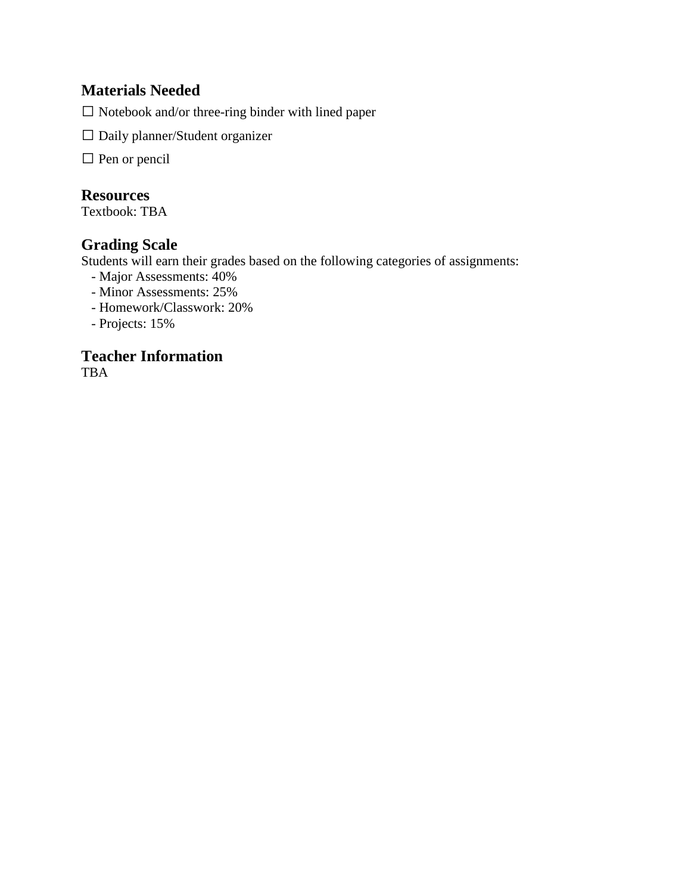# **Materials Needed**

 $\square$  Notebook and/or three-ring binder with lined paper

Daily planner/Student organizer

 $\square$  Pen or pencil

# **Resources**

Textbook: TBA

# **Grading Scale**

Students will earn their grades based on the following categories of assignments:

- Major Assessments: 40%
- Minor Assessments: 25%
- Homework/Classwork: 20%
- Projects: 15%

### **Teacher Information** TBA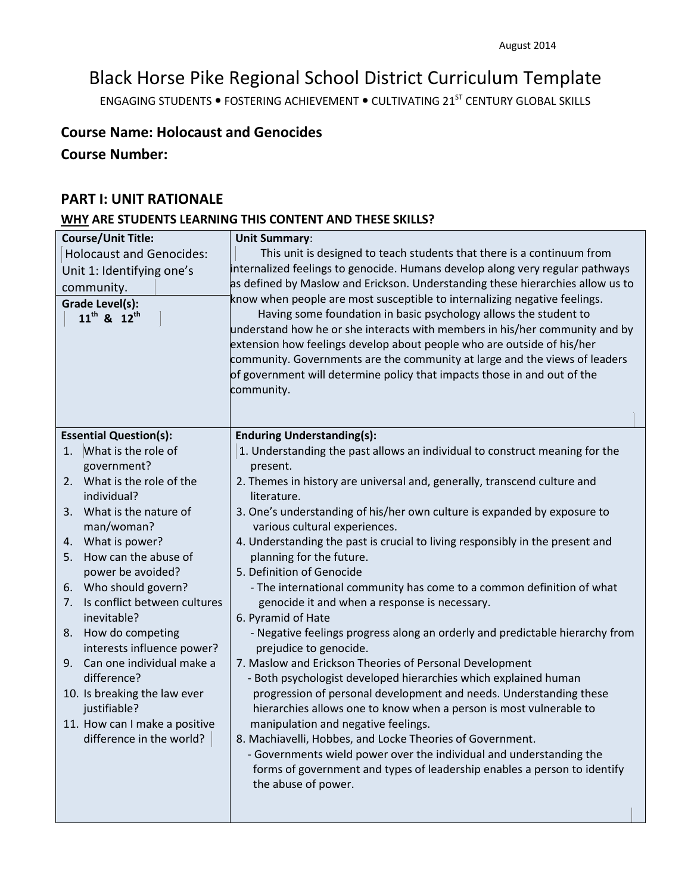# Black Horse Pike Regional School District Curriculum Template

ENGAGING STUDENTS . FOSTERING ACHIEVEMENT . CULTIVATING 21<sup>ST</sup> CENTURY GLOBAL SKILLS

# **Course Name: Holocaust and Genocides**

**Course Number:**

### **PART I: UNIT RATIONALE**

# **WHY ARE STUDENTS LEARNING THIS CONTENT AND THESE SKILLS?**

| <b>Course/Unit Title:</b>                                  | <b>Unit Summary:</b>                                                           |
|------------------------------------------------------------|--------------------------------------------------------------------------------|
| <b>Holocaust and Genocides:</b>                            | This unit is designed to teach students that there is a continuum from         |
| Unit 1: Identifying one's                                  | internalized feelings to genocide. Humans develop along very regular pathways  |
| community.                                                 | as defined by Maslow and Erickson. Understanding these hierarchies allow us to |
| Grade Level(s):                                            | know when people are most susceptible to internalizing negative feelings.      |
| 11 <sup>th</sup> & 12 <sup>th</sup>                        | Having some foundation in basic psychology allows the student to               |
|                                                            | understand how he or she interacts with members in his/her community and by    |
|                                                            | extension how feelings develop about people who are outside of his/her         |
|                                                            | community. Governments are the community at large and the views of leaders     |
|                                                            | of government will determine policy that impacts those in and out of the       |
|                                                            | community.                                                                     |
|                                                            |                                                                                |
|                                                            | <b>Enduring Understanding(s):</b>                                              |
| <b>Essential Question(s):</b><br>What is the role of<br>1. | 1. Understanding the past allows an individual to construct meaning for the    |
| government?                                                | present.                                                                       |
| 2. What is the role of the                                 | 2. Themes in history are universal and, generally, transcend culture and       |
| individual?                                                | literature.                                                                    |
| 3. What is the nature of                                   | 3. One's understanding of his/her own culture is expanded by exposure to       |
| man/woman?                                                 | various cultural experiences.                                                  |
| 4. What is power?                                          | 4. Understanding the past is crucial to living responsibly in the present and  |
| How can the abuse of<br>5.                                 | planning for the future.                                                       |
| power be avoided?                                          | 5. Definition of Genocide                                                      |
| 6. Who should govern?                                      | - The international community has come to a common definition of what          |
| Is conflict between cultures<br>7.                         | genocide it and when a response is necessary.                                  |
| inevitable?                                                | 6. Pyramid of Hate                                                             |
| How do competing<br>8.                                     | - Negative feelings progress along an orderly and predictable hierarchy from   |
| interests influence power?                                 | prejudice to genocide.                                                         |
| 9. Can one individual make a                               | 7. Maslow and Erickson Theories of Personal Development                        |
| difference?                                                | - Both psychologist developed hierarchies which explained human                |
| 10. Is breaking the law ever                               | progression of personal development and needs. Understanding these             |
| justifiable?                                               | hierarchies allows one to know when a person is most vulnerable to             |
| 11. How can I make a positive                              | manipulation and negative feelings.                                            |
| difference in the world?                                   | 8. Machiavelli, Hobbes, and Locke Theories of Government.                      |
|                                                            | - Governments wield power over the individual and understanding the            |
|                                                            | forms of government and types of leadership enables a person to identify       |
|                                                            | the abuse of power.                                                            |
|                                                            |                                                                                |
|                                                            |                                                                                |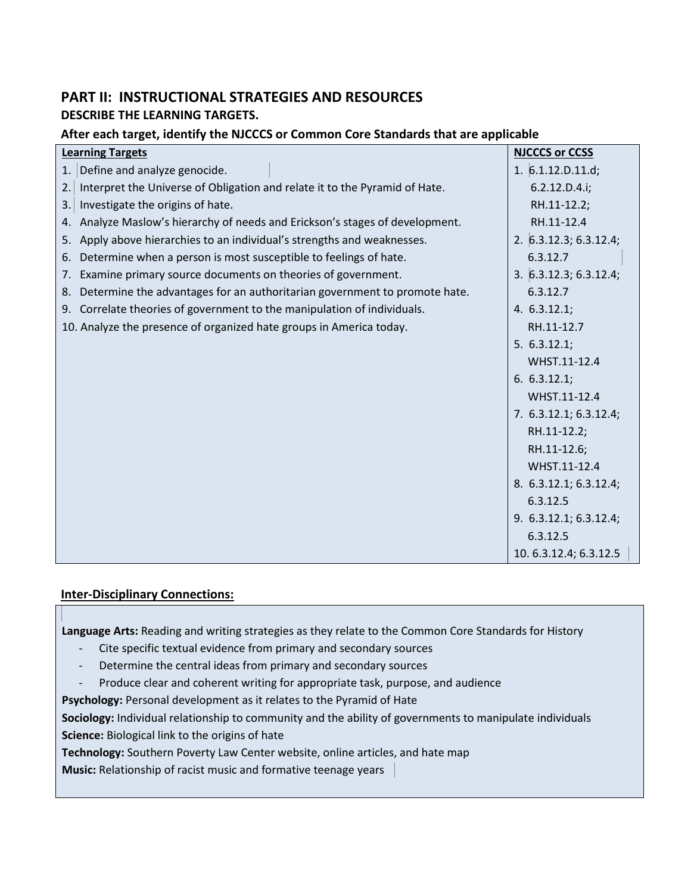# **PART II: INSTRUCTIONAL STRATEGIES AND RESOURCES DESCRIBE THE LEARNING TARGETS.**

### **After each target, identify the NJCCCS or Common Core Standards that are applicable**

| <b>Learning Targets</b>                                                          | <b>NJCCCS or CCSS</b>    |
|----------------------------------------------------------------------------------|--------------------------|
| Define and analyze genocide.<br>1.                                               | 1. $6.1.12.D.11.d;$      |
| Interpret the Universe of Obligation and relate it to the Pyramid of Hate.<br>2. | 6.2.12.D.4.i;            |
| Investigate the origins of hate.<br>3.                                           | RH.11-12.2;              |
| Analyze Maslow's hierarchy of needs and Erickson's stages of development.<br>4.  | RH.11-12.4               |
| Apply above hierarchies to an individual's strengths and weaknesses.<br>5.       | 2. 6.3.12.3; 6.3.12.4;   |
| Determine when a person is most susceptible to feelings of hate.<br>6.           | 6.3.12.7                 |
| Examine primary source documents on theories of government.<br>7.                | 3.   6.3.12.3; 6.3.12.4; |
| Determine the advantages for an authoritarian government to promote hate.<br>8.  | 6.3.12.7                 |
| Correlate theories of government to the manipulation of individuals.<br>9.       | 4. 6.3.12.1;             |
| 10. Analyze the presence of organized hate groups in America today.              | RH.11-12.7               |
|                                                                                  | 5.6.3.12.1;              |
|                                                                                  | WHST.11-12.4             |
|                                                                                  | 6.6.3.12.1;              |
|                                                                                  | WHST.11-12.4             |
|                                                                                  | 7. 6.3.12.1; 6.3.12.4;   |
|                                                                                  | RH.11-12.2;              |
|                                                                                  | RH.11-12.6;              |
|                                                                                  | WHST.11-12.4             |
|                                                                                  | 8. 6.3.12.1; 6.3.12.4;   |
|                                                                                  | 6.3.12.5                 |
|                                                                                  | 9. 6.3.12.1; 6.3.12.4;   |
|                                                                                  | 6.3.12.5                 |
|                                                                                  | 10.6.3.12.4; 6.3.12.5    |

#### **Inter-Disciplinary Connections:**

**Language Arts:** Reading and writing strategies as they relate to the Common Core Standards for History

- Cite specific textual evidence from primary and secondary sources
- Determine the central ideas from primary and secondary sources
- Produce clear and coherent writing for appropriate task, purpose, and audience

**Psychology:** Personal development as it relates to the Pyramid of Hate

**Sociology:** Individual relationship to community and the ability of governments to manipulate individuals **Science:** Biological link to the origins of hate

**Technology:** Southern Poverty Law Center website, online articles, and hate map

**Music:** Relationship of racist music and formative teenage years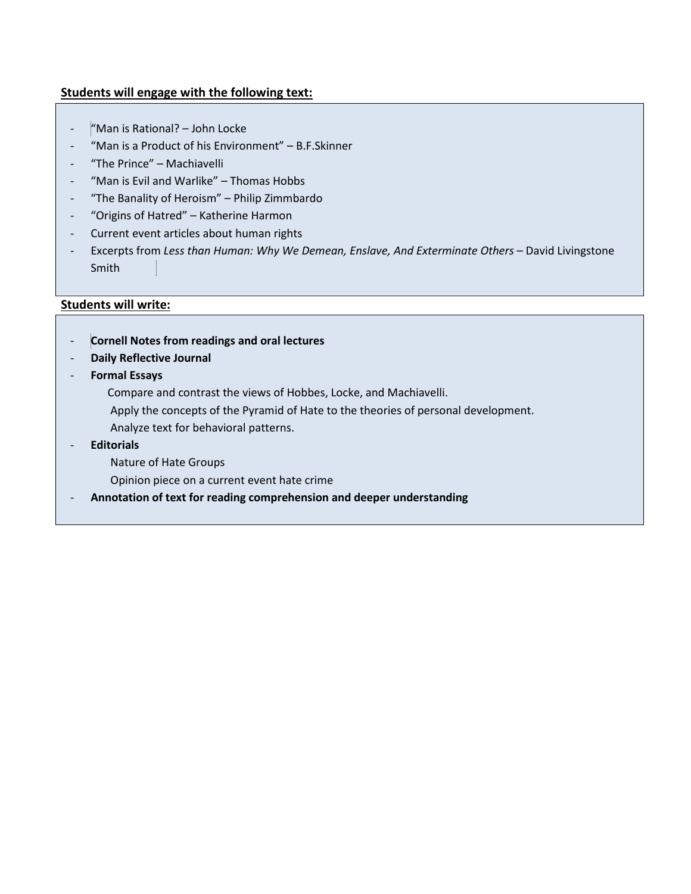### **Students will engage with the following text:**

- "Man is Rational? John Locke
- "Man is a Product of his Environment" B.F.Skinner
- "The Prince" Machiavelli
- "Man is Evil and Warlike" Thomas Hobbs
- "The Banality of Heroism" Philip Zimmbardo
- "Origins of Hatred" Katherine Harmon
- Current event articles about human rights
- Excerpts from *Less than Human: Why We Demean, Enslave, And Exterminate Others* David Livingstone Smith

#### **Students will write:**

- **Cornell Notes from readings and oral lectures**
- **Daily Reflective Journal**
- **Formal Essays**
	- Compare and contrast the views of Hobbes, Locke, and Machiavelli.
	- Apply the concepts of the Pyramid of Hate to the theories of personal development.
	- Analyze text for behavioral patterns.
- **Editorials** 
	- Nature of Hate Groups
	- Opinion piece on a current event hate crime
- **Annotation of text for reading comprehension and deeper understanding**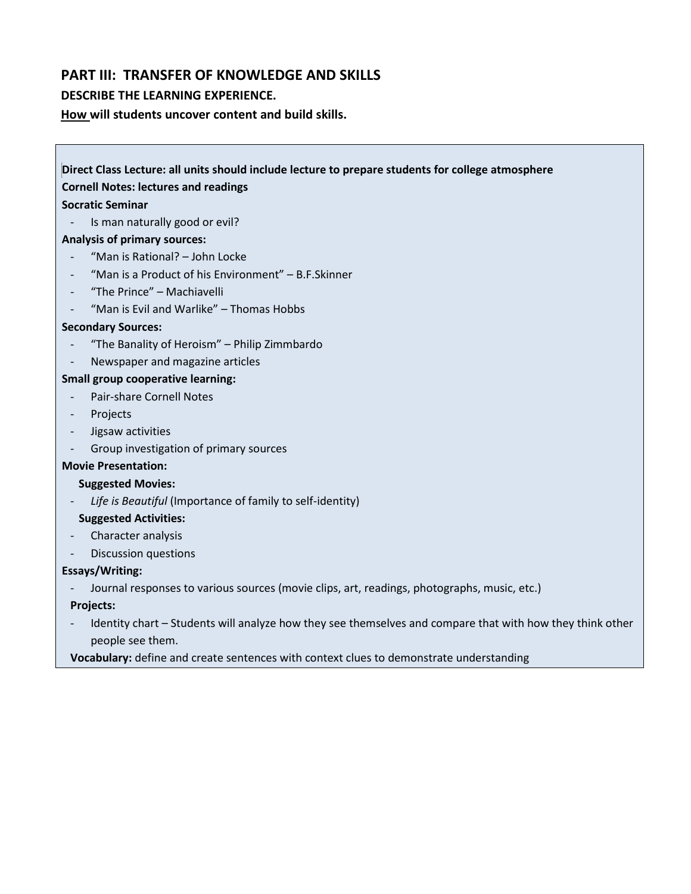### **PART III: TRANSFER OF KNOWLEDGE AND SKILLS**

#### **DESCRIBE THE LEARNING EXPERIENCE.**

**How will students uncover content and build skills.** 

**Direct Class Lecture: all units should include lecture to prepare students for college atmosphere Cornell Notes: lectures and readings Socratic Seminar** - Is man naturally good or evil? **Analysis of primary sources:** - "Man is Rational? – John Locke "Man is a Product of his Environment" – B.F.Skinner - "The Prince" – Machiavelli "Man is Evil and Warlike" – Thomas Hobbs **Secondary Sources:** - "The Banality of Heroism" – Philip Zimmbardo Newspaper and magazine articles **Small group cooperative learning:** - Pair-share Cornell Notes - Projects - Jigsaw activities - Group investigation of primary sources **Movie Presentation: Suggested Movies:**  Life is Beautiful (Importance of family to self-identity) **Suggested Activities:**  Character analysis

- Discussion questions

#### **Essays/Writing:**

- Journal responses to various sources (movie clips, art, readings, photographs, music, etc.)

**Projects:**

- Identity chart Students will analyze how they see themselves and compare that with how they think other people see them.
- **Vocabulary:** define and create sentences with context clues to demonstrate understanding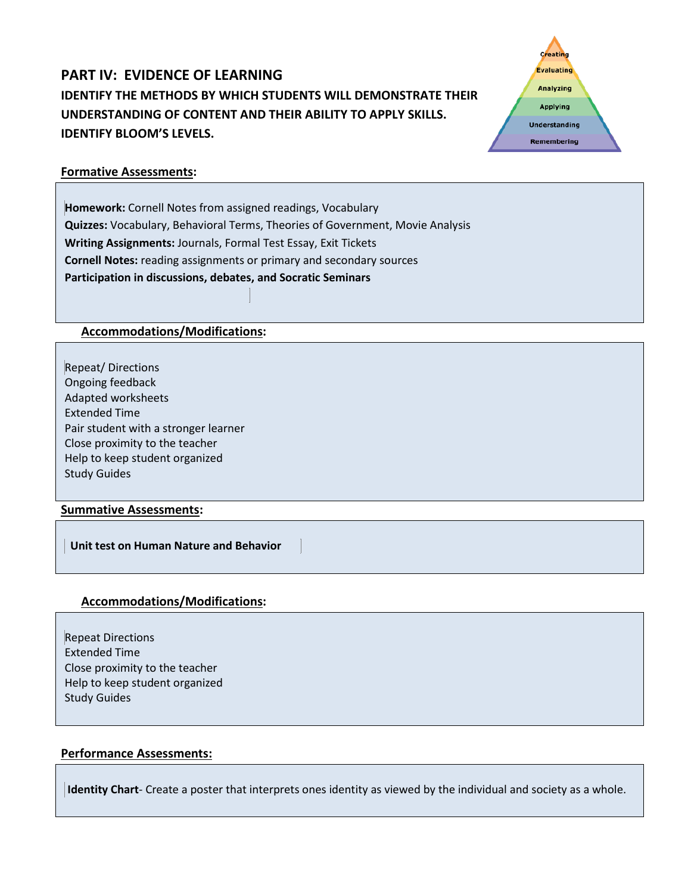# **PART IV: EVIDENCE OF LEARNING IDENTIFY THE METHODS BY WHICH STUDENTS WILL DEMONSTRATE THEIR UNDERSTANDING OF CONTENT AND THEIR ABILITY TO APPLY SKILLS. IDENTIFY BLOOM'S LEVELS.**



#### **Formative Assessments:**

**Homework:** Cornell Notes from assigned readings, Vocabulary **Quizzes:** Vocabulary, Behavioral Terms, Theories of Government, Movie Analysis **Writing Assignments:** Journals, Formal Test Essay, Exit Tickets **Cornell Notes:** reading assignments or primary and secondary sources **Participation in discussions, debates, and Socratic Seminars**

### **Accommodations/Modifications:**

Repeat/ Directions Ongoing feedback Adapted worksheets Extended Time Pair student with a stronger learner Close proximity to the teacher Help to keep student organized Study Guides

#### **Summative Assessments:**

 **Unit test on Human Nature and Behavior** 

### **Accommodations/Modifications:**

Repeat Directions Extended Time Close proximity to the teacher Help to keep student organized Study Guides

#### **Performance Assessments:**

**Identity Chart**- Create a poster that interprets ones identity as viewed by the individual and society as a whole.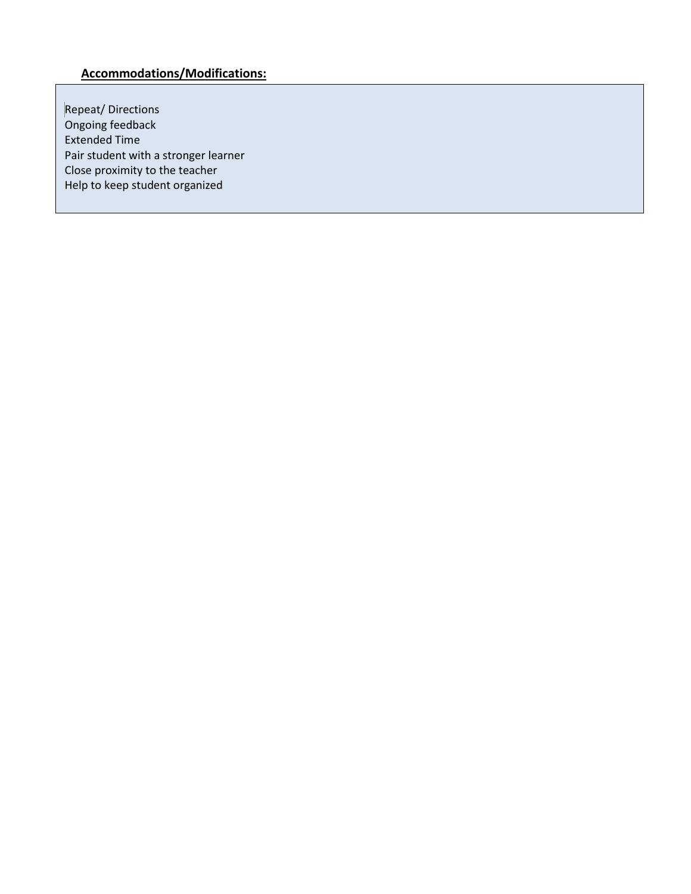# **Accommodations/Modifications:**

Repeat/ Directions Ongoing feedback Extended Time Pair student with a stronger learner Close proximity to the teacher Help to keep student organized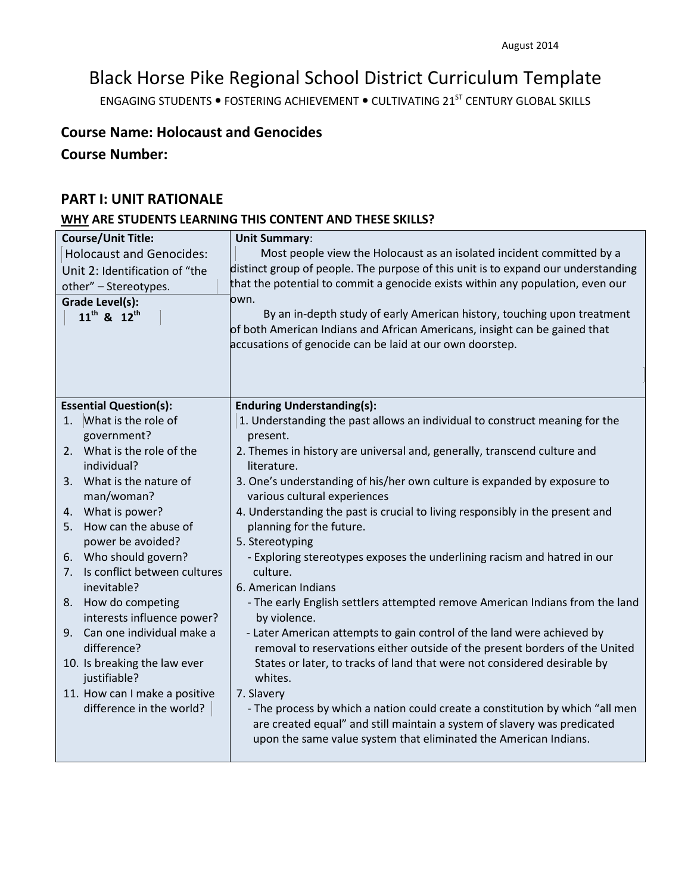# Black Horse Pike Regional School District Curriculum Template

ENGAGING STUDENTS . FOSTERING ACHIEVEMENT . CULTIVATING 21<sup>ST</sup> CENTURY GLOBAL SKILLS

# **Course Name: Holocaust and Genocides**

# **Course Number:**

### **PART I: UNIT RATIONALE**

# **WHY ARE STUDENTS LEARNING THIS CONTENT AND THESE SKILLS?**

| <b>Course/Unit Title:</b>          | <b>Unit Summary:</b>                                                                                                                   |
|------------------------------------|----------------------------------------------------------------------------------------------------------------------------------------|
| <b>Holocaust and Genocides:</b>    | Most people view the Holocaust as an isolated incident committed by a                                                                  |
| Unit 2: Identification of "the     | distinct group of people. The purpose of this unit is to expand our understanding                                                      |
| other" - Stereotypes.              | that the potential to commit a genocide exists within any population, even our                                                         |
| <b>Grade Level(s):</b>             | own.                                                                                                                                   |
| $11^{th}$ & $12^{th}$              | By an in-depth study of early American history, touching upon treatment                                                                |
|                                    | of both American Indians and African Americans, insight can be gained that<br>accusations of genocide can be laid at our own doorstep. |
|                                    |                                                                                                                                        |
|                                    |                                                                                                                                        |
|                                    |                                                                                                                                        |
| <b>Essential Question(s):</b>      | <b>Enduring Understanding(s):</b>                                                                                                      |
| What is the role of<br>1.          | 1. Understanding the past allows an individual to construct meaning for the                                                            |
| government?                        | present.                                                                                                                               |
| 2. What is the role of the         | 2. Themes in history are universal and, generally, transcend culture and                                                               |
| individual?                        | literature.                                                                                                                            |
| 3. What is the nature of           | 3. One's understanding of his/her own culture is expanded by exposure to                                                               |
| man/woman?                         | various cultural experiences                                                                                                           |
| 4. What is power?                  | 4. Understanding the past is crucial to living responsibly in the present and                                                          |
| How can the abuse of<br>5.         | planning for the future.                                                                                                               |
| power be avoided?                  | 5. Stereotyping                                                                                                                        |
| 6. Who should govern?              | - Exploring stereotypes exposes the underlining racism and hatred in our                                                               |
| Is conflict between cultures<br>7. | culture.                                                                                                                               |
| inevitable?                        | 6. American Indians                                                                                                                    |
| 8. How do competing                | - The early English settlers attempted remove American Indians from the land                                                           |
| interests influence power?         | by violence.                                                                                                                           |
| 9. Can one individual make a       | - Later American attempts to gain control of the land were achieved by                                                                 |
| difference?                        | removal to reservations either outside of the present borders of the United                                                            |
| 10. Is breaking the law ever       | States or later, to tracks of land that were not considered desirable by                                                               |
| justifiable?                       | whites.                                                                                                                                |
| 11. How can I make a positive      | 7. Slavery                                                                                                                             |
| difference in the world?           | - The process by which a nation could create a constitution by which "all men                                                          |
|                                    | are created equal" and still maintain a system of slavery was predicated                                                               |
|                                    | upon the same value system that eliminated the American Indians.                                                                       |
|                                    |                                                                                                                                        |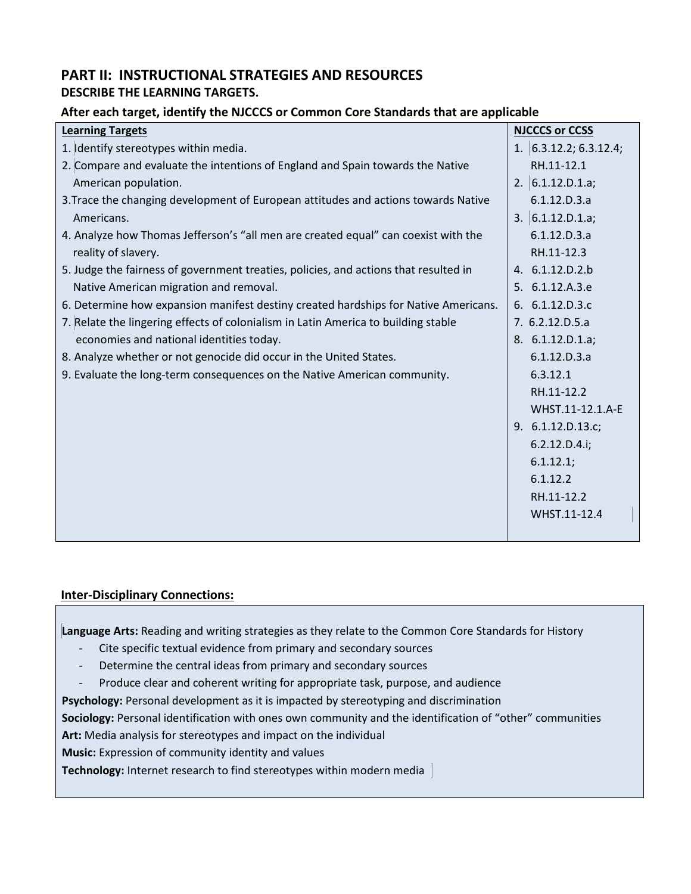## **PART II: INSTRUCTIONAL STRATEGIES AND RESOURCES DESCRIBE THE LEARNING TARGETS.**

### **After each target, identify the NJCCCS or Common Core Standards that are applicable**

| <b>Learning Targets</b>                                                              | <b>NJCCCS or CCSS</b>    |
|--------------------------------------------------------------------------------------|--------------------------|
| 1. Identify stereotypes within media.                                                | 1. $6.3.12.2; 6.3.12.4;$ |
| 2. Compare and evaluate the intentions of England and Spain towards the Native       | RH.11-12.1               |
| American population.                                                                 | 2. $6.1.12.D.1.a;$       |
| 3. Trace the changing development of European attitudes and actions towards Native   | 6.1.12.D.3.a             |
| Americans.                                                                           | 3. $6.1.12.D.1.a;$       |
| 4. Analyze how Thomas Jefferson's "all men are created equal" can coexist with the   | 6.1.12.D.3.a             |
| reality of slavery.                                                                  | RH.11-12.3               |
| 5. Judge the fairness of government treaties, policies, and actions that resulted in | 4. 6.1.12.D.2.b          |
| Native American migration and removal.                                               | 5. 6.1.12.A.3.e          |
| 6. Determine how expansion manifest destiny created hardships for Native Americans.  | 6. 6.1.12.D.3.c          |
| 7. Relate the lingering effects of colonialism in Latin America to building stable   | 7. 6.2.12.D.5.a          |
| economies and national identities today.                                             | 8. 6.1.12.D.1.a;         |
| 8. Analyze whether or not genocide did occur in the United States.                   | 6.1.12.D.3.a             |
| 9. Evaluate the long-term consequences on the Native American community.             | 6.3.12.1                 |
|                                                                                      | RH.11-12.2               |
|                                                                                      | WHST.11-12.1.A-E         |
|                                                                                      | 9. 6.1.12.D.13.c;        |
|                                                                                      | 6.2.12.D.4.i;            |
|                                                                                      | 6.1.12.1;                |
|                                                                                      | 6.1.12.2                 |
|                                                                                      | RH.11-12.2               |
|                                                                                      | WHST.11-12.4             |
|                                                                                      |                          |

#### **Inter-Disciplinary Connections:**

**Language Arts:** Reading and writing strategies as they relate to the Common Core Standards for History

- Cite specific textual evidence from primary and secondary sources
- Determine the central ideas from primary and secondary sources
- Produce clear and coherent writing for appropriate task, purpose, and audience

**Psychology:** Personal development as it is impacted by stereotyping and discrimination

**Sociology:** Personal identification with ones own community and the identification of "other" communities

**Art:** Media analysis for stereotypes and impact on the individual

**Music:** Expression of community identity and values

**Technology:** Internet research to find stereotypes within modern media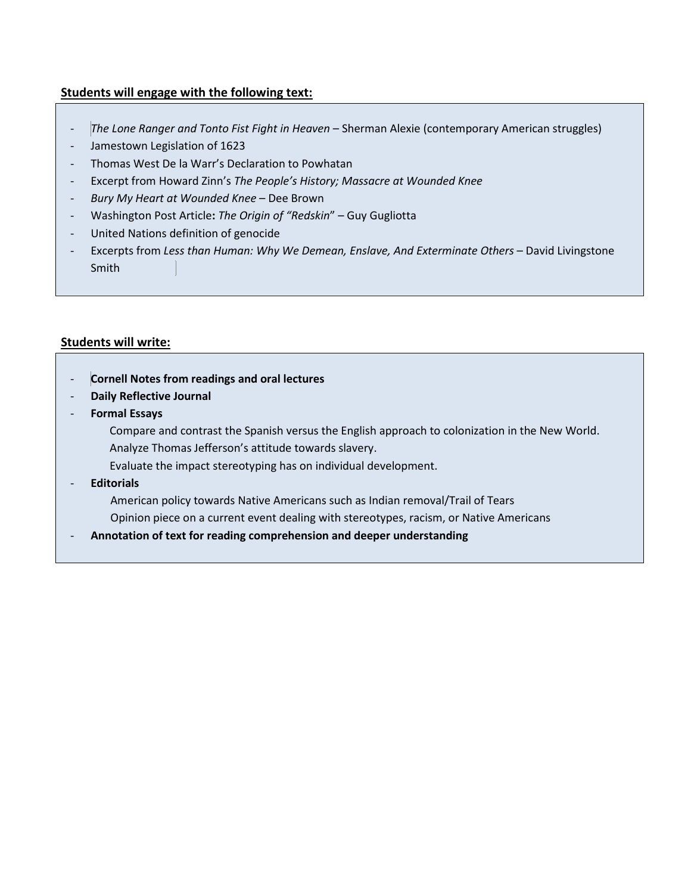### **Students will engage with the following text:**

- *The Lone Ranger and Tonto Fist Fight in Heaven* Sherman Alexie (contemporary American struggles)
- Jamestown Legislation of 1623
- Thomas West De la Warr's Declaration to Powhatan
- Excerpt from Howard Zinn's *The People's History; Massacre at Wounded Knee*
- *Bury My Heart at Wounded Knee* Dee Brown
- Washington Post Article**:** *The Origin of "Redskin*" Guy Gugliotta
- United Nations definition of genocide
- Excerpts from Less than Human: Why We Demean, Enslave, And Exterminate Others David Livingstone Smith

### **Students will write:**

- **Cornell Notes from readings and oral lectures**
- **Daily Reflective Journal**
- **Formal Essays**
	- Compare and contrast the Spanish versus the English approach to colonization in the New World. Analyze Thomas Jefferson's attitude towards slavery.
	- Evaluate the impact stereotyping has on individual development.
- **Editorials** 
	- American policy towards Native Americans such as Indian removal/Trail of Tears
	- Opinion piece on a current event dealing with stereotypes, racism, or Native Americans
- **Annotation of text for reading comprehension and deeper understanding**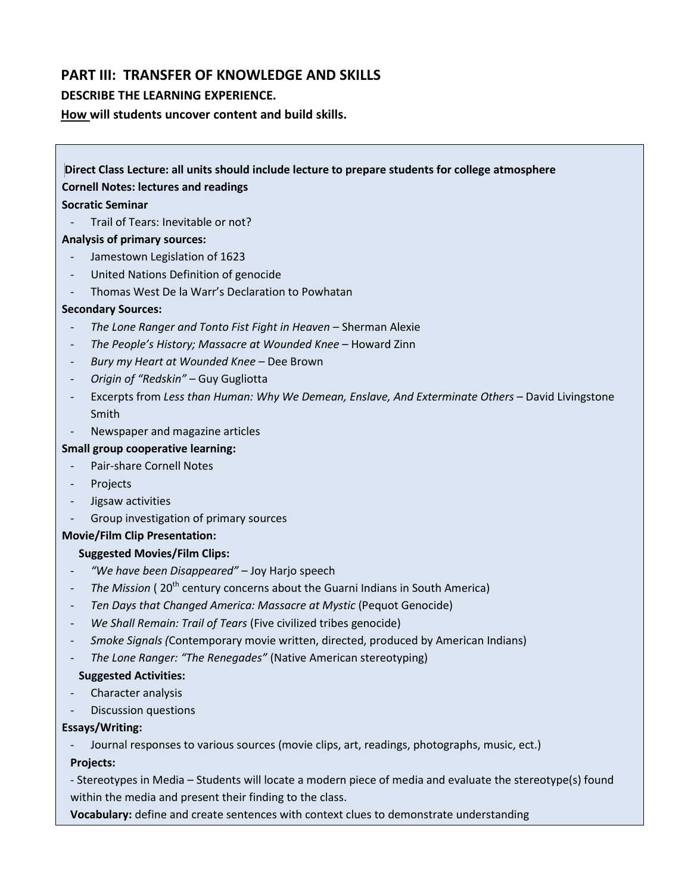## **PART III: TRANSFER OF KNOWLEDGE AND SKILLS**

#### **DESCRIBE THE LEARNING EXPERIENCE.**

**How will students uncover content and build skills.** 

# **Direct Class Lecture: all units should include lecture to prepare students for college atmosphere Cornell Notes: lectures and readings Socratic Seminar** Trail of Tears: Inevitable or not? **Analysis of primary sources:** Jamestown Legislation of 1623 - United Nations Definition of genocide Thomas West De la Warr's Declaration to Powhatan **Secondary Sources:** - *The Lone Ranger and Tonto Fist Fight in Heaven* – Sherman Alexie - *The People's History; Massacre at Wounded Knee* – Howard Zinn - *Bury my Heart at Wounded Knee –* Dee Brown - *Origin of "Redskin"* – Guy Gugliotta Excerpts from Less than Human: Why We Demean, Enslave, And Exterminate Others - David Livingstone Smith - Newspaper and magazine articles **Small group cooperative learning:** Pair-share Cornell Notes - Projects Jigsaw activities - Group investigation of primary sources **Movie/Film Clip Presentation: Suggested Movies/Film Clips:**  - *"We have been Disappeared"* – Joy Harjo speech

- <sup>-</sup> *The Mission* (20<sup>th</sup> century concerns about the Guarni Indians in South America)
- *Ten Days that Changed America: Massacre at Mystic* (Pequot Genocide)
- *We Shall Remain: Trail of Tears* (Five civilized tribes genocide)
- *Smoke Signals (*Contemporary movie written, directed, produced by American Indians)
- *The Lone Ranger: "The Renegades"* (Native American stereotyping)

#### **Suggested Activities:**

- Character analysis
- Discussion questions

#### **Essays/Writing:**

Journal responses to various sources (movie clips, art, readings, photographs, music, ect.)

**Projects:**

- Stereotypes in Media – Students will locate a modern piece of media and evaluate the stereotype(s) found within the media and present their finding to the class.

**Vocabulary:** define and create sentences with context clues to demonstrate understanding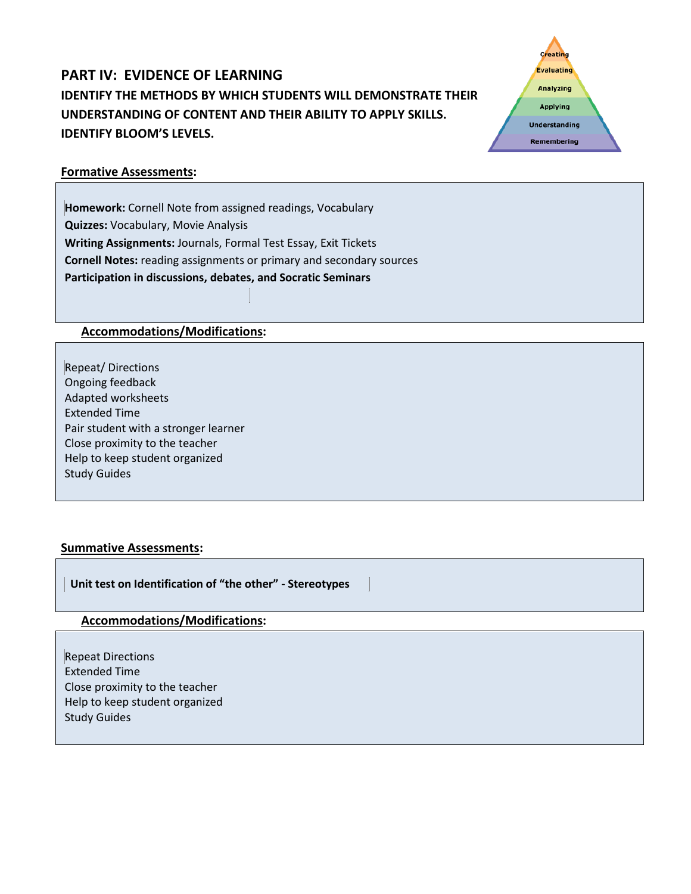# **PART IV: EVIDENCE OF LEARNING IDENTIFY THE METHODS BY WHICH STUDENTS WILL DEMONSTRATE THEIR UNDERSTANDING OF CONTENT AND THEIR ABILITY TO APPLY SKILLS. IDENTIFY BLOOM'S LEVELS.**



### **Formative Assessments:**

**Homework:** Cornell Note from assigned readings, Vocabulary **Quizzes:** Vocabulary, Movie Analysis **Writing Assignments:** Journals, Formal Test Essay, Exit Tickets **Cornell Notes:** reading assignments or primary and secondary sources **Participation in discussions, debates, and Socratic Seminars**

### **Accommodations/Modifications:**

Repeat/ Directions Ongoing feedback Adapted worksheets Extended Time Pair student with a stronger learner Close proximity to the teacher Help to keep student organized Study Guides

#### **Summative Assessments:**

 **Unit test on Identification of "the other" - Stereotypes** 

#### **Accommodations/Modifications:**

Repeat Directions Extended Time Close proximity to the teacher Help to keep student organized Study Guides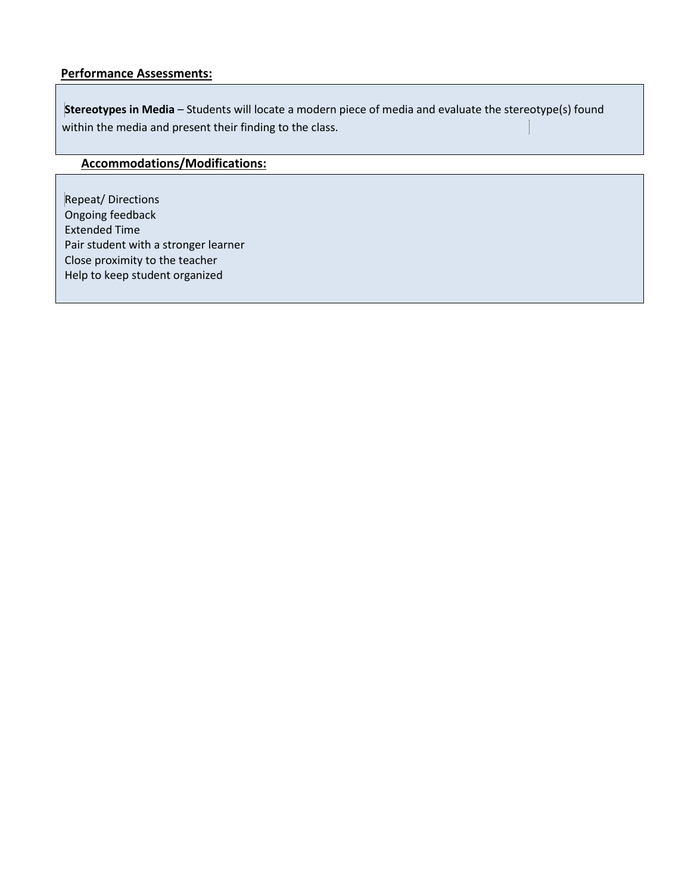#### **Performance Assessments:**

**Stereotypes in Media** – Students will locate a modern piece of media and evaluate the stereotype(s) found within the media and present their finding to the class.

# **Accommodations/Modifications:**

Repeat/ Directions Ongoing feedback Extended Time Pair student with a stronger learner Close proximity to the teacher Help to keep student organized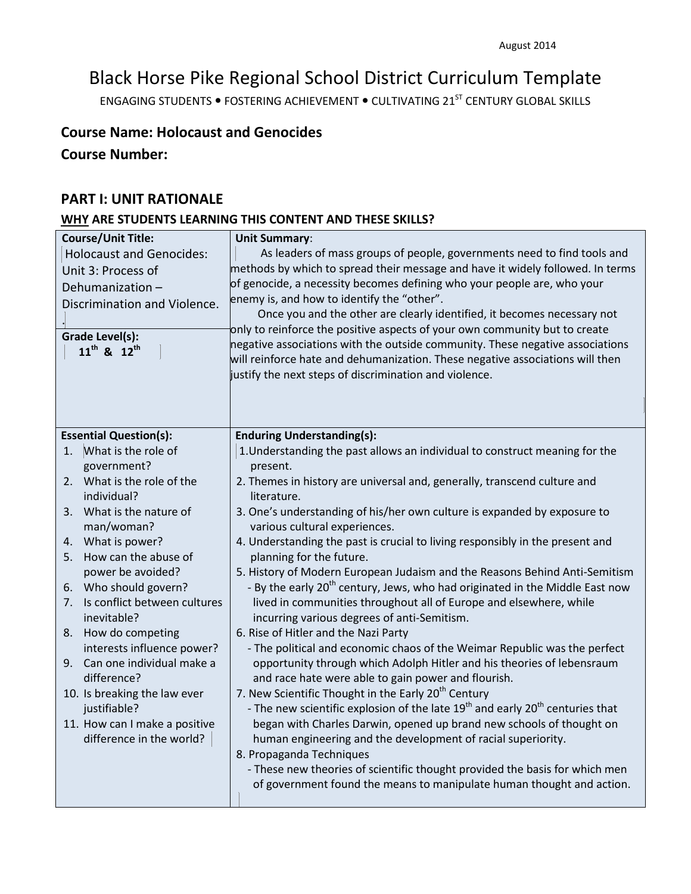# Black Horse Pike Regional School District Curriculum Template

ENGAGING STUDENTS . FOSTERING ACHIEVEMENT . CULTIVATING 21<sup>ST</sup> CENTURY GLOBAL SKILLS

# **Course Name: Holocaust and Genocides**

**Course Number:**

### **PART I: UNIT RATIONALE**

# **WHY ARE STUDENTS LEARNING THIS CONTENT AND THESE SKILLS?**

| <b>Course/Unit Title:</b>                         | <b>Unit Summary:</b>                                                                                                                    |
|---------------------------------------------------|-----------------------------------------------------------------------------------------------------------------------------------------|
| <b>Holocaust and Genocides:</b>                   | As leaders of mass groups of people, governments need to find tools and                                                                 |
| Unit 3: Process of                                | methods by which to spread their message and have it widely followed. In terms                                                          |
| Dehumanization-                                   | of genocide, a necessity becomes defining who your people are, who your                                                                 |
| Discrimination and Violence.                      | enemy is, and how to identify the "other".                                                                                              |
|                                                   | Once you and the other are clearly identified, it becomes necessary not                                                                 |
| <b>Grade Level(s):</b>                            | only to reinforce the positive aspects of your own community but to create                                                              |
| $11^{th}$ & $12^{th}$                             | negative associations with the outside community. These negative associations                                                           |
|                                                   | will reinforce hate and dehumanization. These negative associations will then<br>justify the next steps of discrimination and violence. |
|                                                   |                                                                                                                                         |
|                                                   |                                                                                                                                         |
|                                                   |                                                                                                                                         |
| <b>Essential Question(s):</b>                     | <b>Enduring Understanding(s):</b>                                                                                                       |
| What is the role of<br>1.                         | 1. Understanding the past allows an individual to construct meaning for the                                                             |
| government?                                       | present.                                                                                                                                |
| What is the role of the<br>2.                     | 2. Themes in history are universal and, generally, transcend culture and                                                                |
| individual?                                       | literature.                                                                                                                             |
| What is the nature of<br>3.                       | 3. One's understanding of his/her own culture is expanded by exposure to                                                                |
| man/woman?                                        | various cultural experiences.                                                                                                           |
| 4. What is power?                                 | 4. Understanding the past is crucial to living responsibly in the present and                                                           |
| How can the abuse of<br>5.                        | planning for the future.                                                                                                                |
| power be avoided?                                 | 5. History of Modern European Judaism and the Reasons Behind Anti-Semitism                                                              |
| 6. Who should govern?                             | - By the early 20 <sup>th</sup> century, Jews, who had originated in the Middle East now                                                |
| Is conflict between cultures<br>7.<br>inevitable? | lived in communities throughout all of Europe and elsewhere, while                                                                      |
| How do competing                                  | incurring various degrees of anti-Semitism.<br>6. Rise of Hitler and the Nazi Party                                                     |
| 8.<br>interests influence power?                  | - The political and economic chaos of the Weimar Republic was the perfect                                                               |
| Can one individual make a<br>9.                   | opportunity through which Adolph Hitler and his theories of lebensraum                                                                  |
| difference?                                       | and race hate were able to gain power and flourish.                                                                                     |
| 10. Is breaking the law ever                      | 7. New Scientific Thought in the Early 20 <sup>th</sup> Century                                                                         |
| justifiable?                                      | - The new scientific explosion of the late 19 <sup>th</sup> and early 20 <sup>th</sup> centuries that                                   |
| 11. How can I make a positive                     | began with Charles Darwin, opened up brand new schools of thought on                                                                    |
| difference in the world?                          | human engineering and the development of racial superiority.                                                                            |
|                                                   | 8. Propaganda Techniques                                                                                                                |
|                                                   | - These new theories of scientific thought provided the basis for which men                                                             |
|                                                   | of government found the means to manipulate human thought and action.                                                                   |
|                                                   |                                                                                                                                         |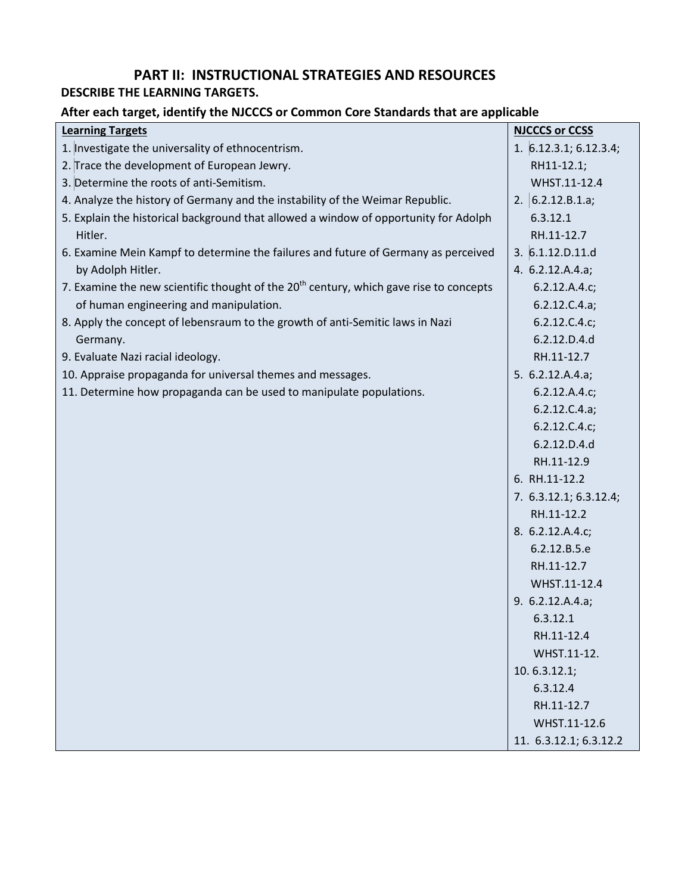# **PART II: INSTRUCTIONAL STRATEGIES AND RESOURCES**

# **DESCRIBE THE LEARNING TARGETS.**

# **After each target, identify the NJCCCS or Common Core Standards that are applicable**

| <b>Learning Targets</b>                                                                            | <b>NJCCCS or CCSS</b>    |
|----------------------------------------------------------------------------------------------------|--------------------------|
| 1. Investigate the universality of ethnocentrism.                                                  | 1. $6.12.3.1; 6.12.3.4;$ |
| 2. Trace the development of European Jewry.                                                        | RH11-12.1;               |
| 3. Determine the roots of anti-Semitism.                                                           | WHST.11-12.4             |
| 4. Analyze the history of Germany and the instability of the Weimar Republic.                      | 2. $6.2.12.B.1.a;$       |
| 5. Explain the historical background that allowed a window of opportunity for Adolph               | 6.3.12.1                 |
| Hitler.                                                                                            | RH.11-12.7               |
| 6. Examine Mein Kampf to determine the failures and future of Germany as perceived                 | 3.6.1.12.D.11.d          |
| by Adolph Hitler.                                                                                  | 4. 6.2.12.A.4.a;         |
| 7. Examine the new scientific thought of the 20 <sup>th</sup> century, which gave rise to concepts | 6.2.12.A.4.c;            |
| of human engineering and manipulation.                                                             | 6.2.12.C.4.a;            |
| 8. Apply the concept of lebensraum to the growth of anti-Semitic laws in Nazi                      | 6.2.12.C.4.c;            |
| Germany.                                                                                           | 6.2.12.D.4.d             |
| 9. Evaluate Nazi racial ideology.                                                                  | RH.11-12.7               |
| 10. Appraise propaganda for universal themes and messages.                                         | 5. $6.2.12.A.4.a;$       |
| 11. Determine how propaganda can be used to manipulate populations.                                | 6.2.12.A.4.c;            |
|                                                                                                    | 6.2.12.C.4.a;            |
|                                                                                                    | 6.2.12.C.4.c;            |
|                                                                                                    | 6.2.12.D.4.d             |
|                                                                                                    | RH.11-12.9               |
|                                                                                                    | 6. RH.11-12.2            |
|                                                                                                    | 7. 6.3.12.1; 6.3.12.4;   |
|                                                                                                    | RH.11-12.2               |
|                                                                                                    | 8. 6.2.12.A.4.c;         |
|                                                                                                    | 6.2.12.B.5.e             |
|                                                                                                    | RH.11-12.7               |
|                                                                                                    | WHST.11-12.4             |
|                                                                                                    | 9. 6.2.12.A.4.a;         |
|                                                                                                    | 6.3.12.1                 |
|                                                                                                    | RH.11-12.4               |
|                                                                                                    | WHST.11-12.              |
|                                                                                                    | 10.6.3.12.1;             |
|                                                                                                    | 6.3.12.4                 |
|                                                                                                    | RH.11-12.7               |
|                                                                                                    | WHST.11-12.6             |
|                                                                                                    | 11. 6.3.12.1; 6.3.12.2   |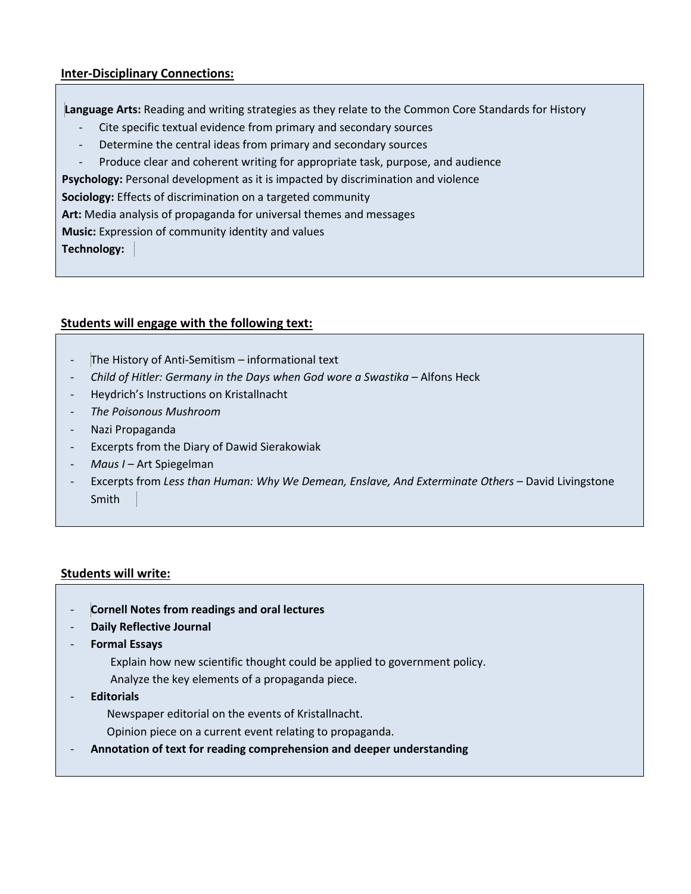### **Inter-Disciplinary Connections:**

**Language Arts:** Reading and writing strategies as they relate to the Common Core Standards for History

- Cite specific textual evidence from primary and secondary sources
- Determine the central ideas from primary and secondary sources
- Produce clear and coherent writing for appropriate task, purpose, and audience
- **Psychology:** Personal development as it is impacted by discrimination and violence

**Sociology:** Effects of discrimination on a targeted community

**Art:** Media analysis of propaganda for universal themes and messages

**Music:** Expression of community identity and values

**Technology:**

#### **Students will engage with the following text:**

- The History of Anti-Semitism informational text
- *Child of Hitler: Germany in the Days when God wore a Swastika* Alfons Heck
- Heydrich's Instructions on Kristallnacht
- *The Poisonous Mushroom*
- Nazi Propaganda
- Excerpts from the Diary of Dawid Sierakowiak
- *Maus I* Art Spiegelman
- Excerpts from *Less than Human: Why We Demean, Enslave, And Exterminate Others* David Livingstone Smith

### **Students will write:**

- **Cornell Notes from readings and oral lectures**
- **Daily Reflective Journal**
- **Formal Essays**
	- Explain how new scientific thought could be applied to government policy.
	- Analyze the key elements of a propaganda piece.
- **Editorials** 
	- Newspaper editorial on the events of Kristallnacht.
	- Opinion piece on a current event relating to propaganda.
- **Annotation of text for reading comprehension and deeper understanding**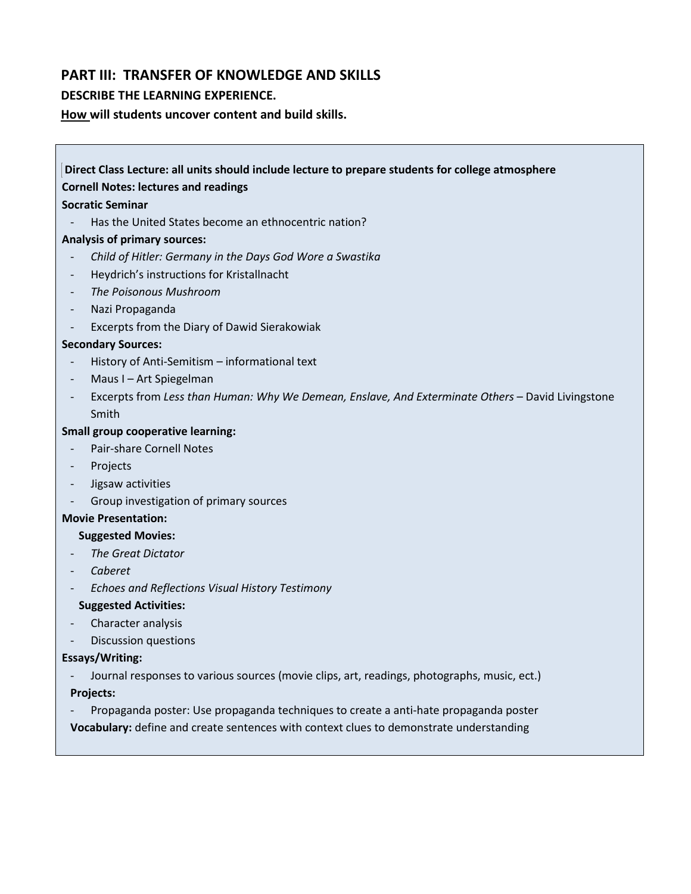## **PART III: TRANSFER OF KNOWLEDGE AND SKILLS**

#### **DESCRIBE THE LEARNING EXPERIENCE.**

**How will students uncover content and build skills.** 

# **Direct Class Lecture: all units should include lecture to prepare students for college atmosphere Cornell Notes: lectures and readings Socratic Seminar** Has the United States become an ethnocentric nation? **Analysis of primary sources:** - *Child of Hitler: Germany in the Days God Wore a Swastika* - Heydrich's instructions for Kristallnacht - *The Poisonous Mushroom* Nazi Propaganda - Excerpts from the Diary of Dawid Sierakowiak **Secondary Sources:** - History of Anti-Semitism – informational text Maus I – Art Spiegelman - Excerpts from *Less than Human: Why We Demean, Enslave, And Exterminate Others* – David Livingstone Smith **Small group cooperative learning:** - Pair-share Cornell Notes Projects

- Jigsaw activities
- Group investigation of primary sources
- **Movie Presentation:**

#### **Suggested Movies:**

- *The Great Dictator*
- *Caberet*
- *Echoes and Reflections Visual History Testimony*

#### **Suggested Activities:**

- Character analysis
- Discussion questions

#### **Essays/Writing:**

- Journal responses to various sources (movie clips, art, readings, photographs, music, ect.) **Projects:**
- Propaganda poster: Use propaganda techniques to create a anti-hate propaganda poster **Vocabulary:** define and create sentences with context clues to demonstrate understanding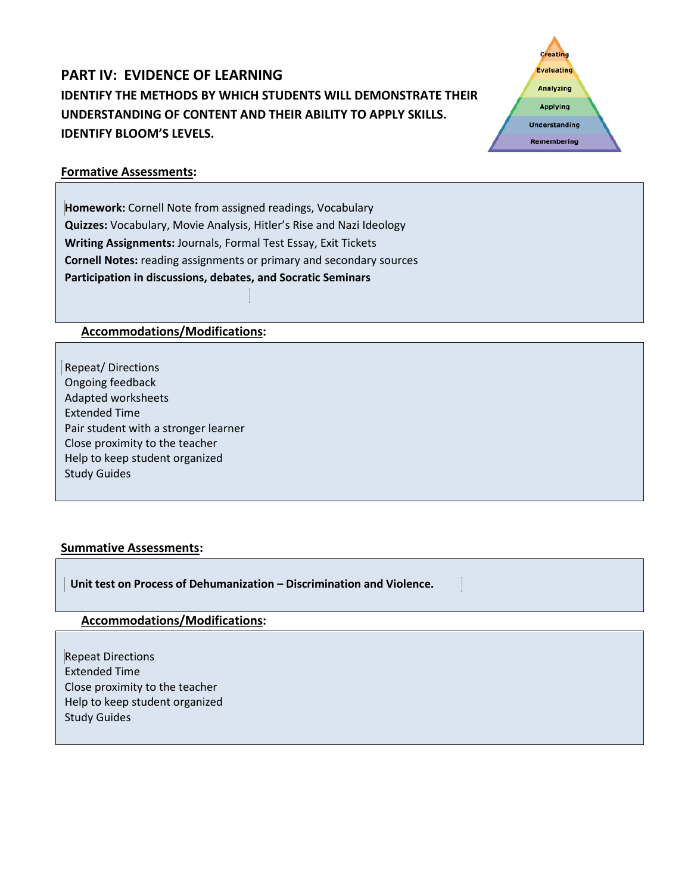# **PART IV: EVIDENCE OF LEARNING IDENTIFY THE METHODS BY WHICH STUDENTS WILL DEMONSTRATE THEIR UNDERSTANDING OF CONTENT AND THEIR ABILITY TO APPLY SKILLS. IDENTIFY BLOOM'S LEVELS.**



### **Formative Assessments:**

**Homework:** Cornell Note from assigned readings, Vocabulary **Quizzes:** Vocabulary, Movie Analysis, Hitler's Rise and Nazi Ideology **Writing Assignments:** Journals, Formal Test Essay, Exit Tickets **Cornell Notes:** reading assignments or primary and secondary sources **Participation in discussions, debates, and Socratic Seminars**

### **Accommodations/Modifications:**

Repeat/ Directions Ongoing feedback Adapted worksheets Extended Time Pair student with a stronger learner Close proximity to the teacher Help to keep student organized Study Guides

### **Summative Assessments:**

 **Unit test on Process of Dehumanization – Discrimination and Violence.**

#### **Accommodations/Modifications:**

Repeat Directions Extended Time Close proximity to the teacher Help to keep student organized Study Guides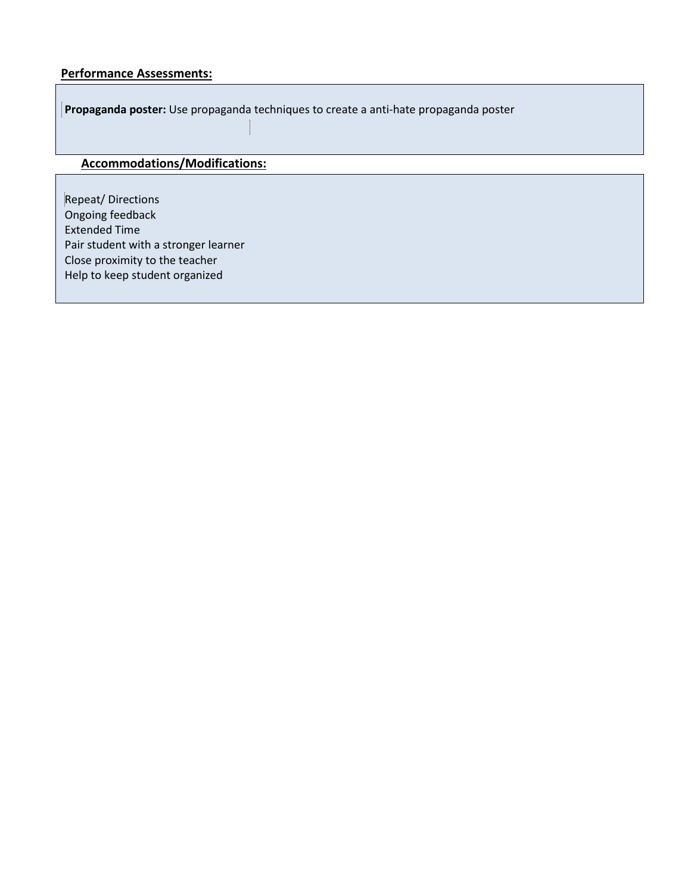### **Performance Assessments:**

**Propaganda poster:** Use propaganda techniques to create a anti-hate propaganda poster

# **Accommodations/Modifications:**

Repeat/ Directions Ongoing feedback Extended Time Pair student with a stronger learner Close proximity to the teacher Help to keep student organized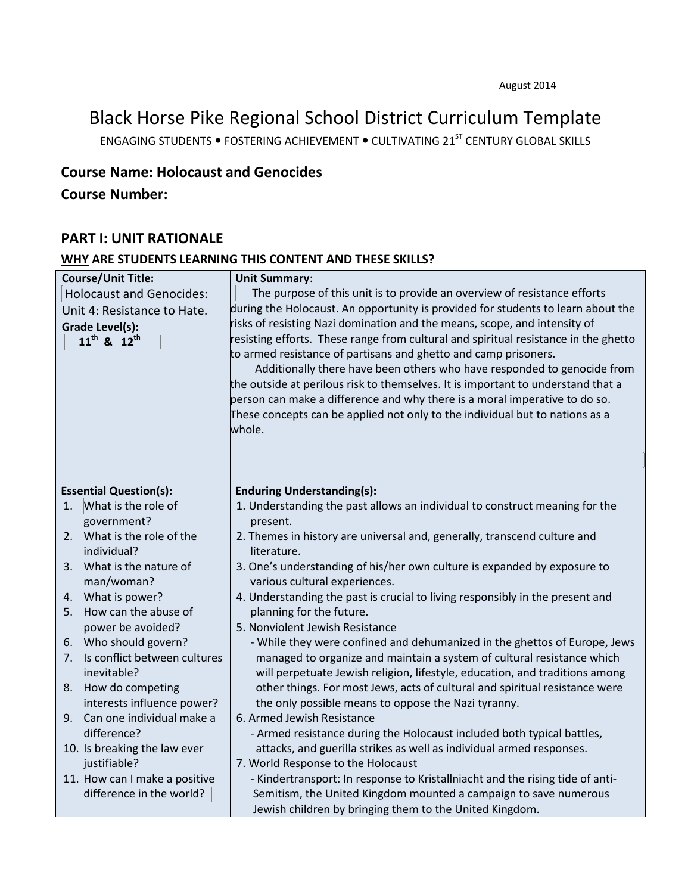Black Horse Pike Regional School District Curriculum Template

ENGAGING STUDENTS . FOSTERING ACHIEVEMENT . CULTIVATING 21<sup>ST</sup> CENTURY GLOBAL SKILLS

# **Course Name: Holocaust and Genocides**

# **Course Number:**

### **PART I: UNIT RATIONALE**

#### **WHY ARE STUDENTS LEARNING THIS CONTENT AND THESE SKILLS?**

|    | <b>Course/Unit Title:</b>       | <b>Unit Summary:</b>                                                                |
|----|---------------------------------|-------------------------------------------------------------------------------------|
|    | <b>Holocaust and Genocides:</b> | The purpose of this unit is to provide an overview of resistance efforts            |
|    | Unit 4: Resistance to Hate.     | during the Holocaust. An opportunity is provided for students to learn about the    |
|    | Grade Level(s):                 | risks of resisting Nazi domination and the means, scope, and intensity of           |
|    | $11^{th}$ & $12^{th}$           | resisting efforts. These range from cultural and spiritual resistance in the ghetto |
|    |                                 | to armed resistance of partisans and ghetto and camp prisoners.                     |
|    |                                 | Additionally there have been others who have responded to genocide from             |
|    |                                 | the outside at perilous risk to themselves. It is important to understand that a    |
|    |                                 | person can make a difference and why there is a moral imperative to do so.          |
|    |                                 | These concepts can be applied not only to the individual but to nations as a        |
|    |                                 | whole.                                                                              |
|    |                                 |                                                                                     |
|    |                                 |                                                                                     |
|    |                                 |                                                                                     |
|    | <b>Essential Question(s):</b>   | <b>Enduring Understanding(s):</b>                                                   |
| 1. | What is the role of             | 1. Understanding the past allows an individual to construct meaning for the         |
|    | government?                     | present.                                                                            |
| 2. | What is the role of the         | 2. Themes in history are universal and, generally, transcend culture and            |
|    | individual?                     | literature.                                                                         |
| 3. | What is the nature of           | 3. One's understanding of his/her own culture is expanded by exposure to            |
|    | man/woman?                      | various cultural experiences.                                                       |
| 4. | What is power?                  | 4. Understanding the past is crucial to living responsibly in the present and       |
| 5. | How can the abuse of            | planning for the future.                                                            |
|    | power be avoided?               | 5. Nonviolent Jewish Resistance                                                     |
| 6. | Who should govern?              | - While they were confined and dehumanized in the ghettos of Europe, Jews           |
| 7. | Is conflict between cultures    | managed to organize and maintain a system of cultural resistance which              |
|    | inevitable?                     | will perpetuate Jewish religion, lifestyle, education, and traditions among         |
| 8. | How do competing                | other things. For most Jews, acts of cultural and spiritual resistance were         |
|    | interests influence power?      | the only possible means to oppose the Nazi tyranny.                                 |
| 9. | Can one individual make a       | 6. Armed Jewish Resistance                                                          |
|    | difference?                     | - Armed resistance during the Holocaust included both typical battles,              |
|    | 10. Is breaking the law ever    | attacks, and guerilla strikes as well as individual armed responses.                |
|    | justifiable?                    | 7. World Response to the Holocaust                                                  |
|    | 11. How can I make a positive   | - Kindertransport: In response to Kristallniacht and the rising tide of anti-       |
|    | difference in the world?        | Semitism, the United Kingdom mounted a campaign to save numerous                    |
|    |                                 | Jewish children by bringing them to the United Kingdom.                             |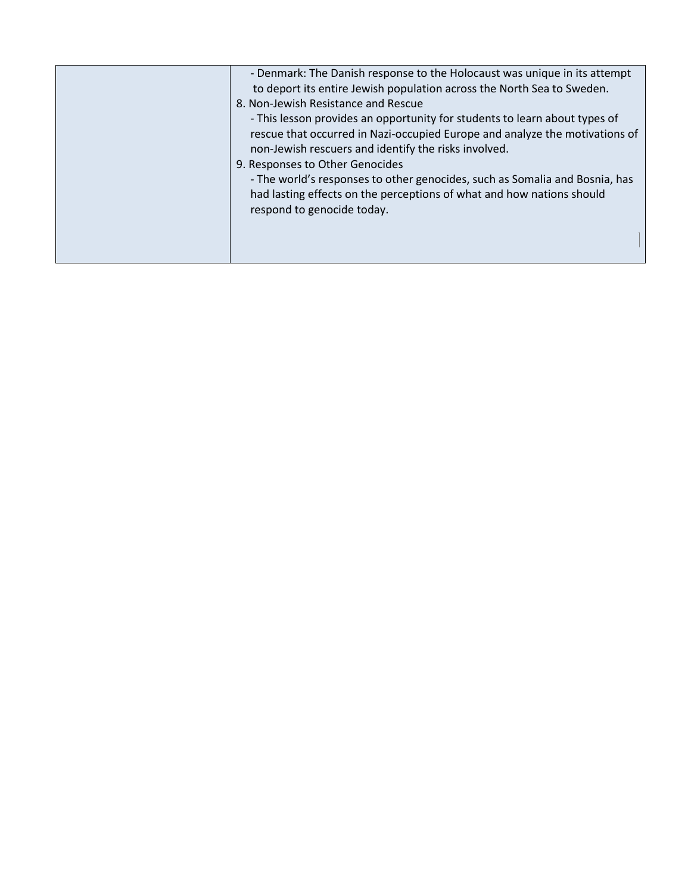| - Denmark: The Danish response to the Holocaust was unique in its attempt<br>to deport its entire Jewish population across the North Sea to Sweden.<br>8. Non-Jewish Resistance and Rescue<br>- This lesson provides an opportunity for students to learn about types of<br>rescue that occurred in Nazi-occupied Europe and analyze the motivations of<br>non-Jewish rescuers and identify the risks involved.<br>9. Responses to Other Genocides<br>- The world's responses to other genocides, such as Somalia and Bosnia, has<br>had lasting effects on the perceptions of what and how nations should |
|------------------------------------------------------------------------------------------------------------------------------------------------------------------------------------------------------------------------------------------------------------------------------------------------------------------------------------------------------------------------------------------------------------------------------------------------------------------------------------------------------------------------------------------------------------------------------------------------------------|
| respond to genocide today.                                                                                                                                                                                                                                                                                                                                                                                                                                                                                                                                                                                 |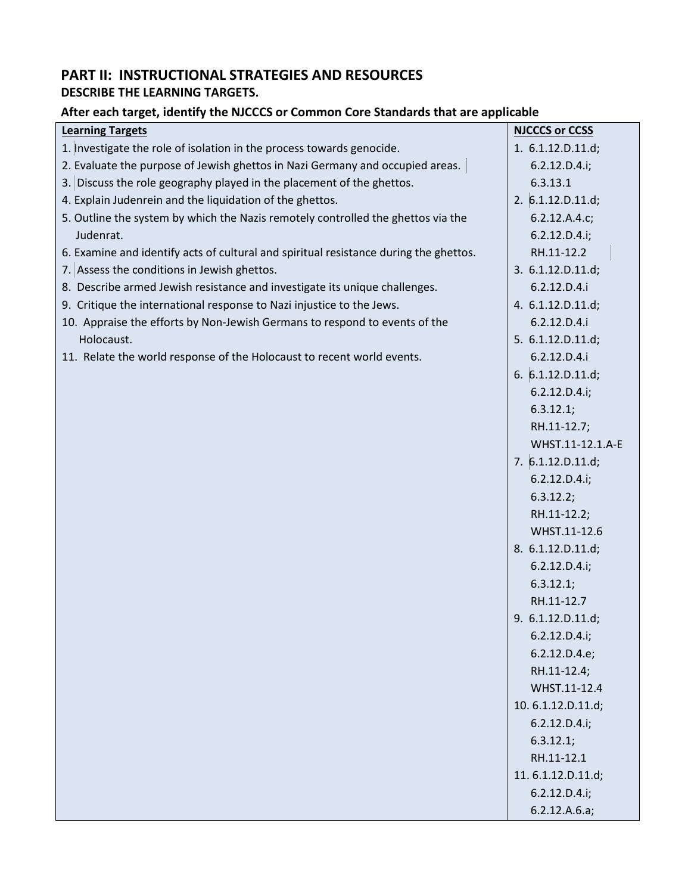# **PART II: INSTRUCTIONAL STRATEGIES AND RESOURCES DESCRIBE THE LEARNING TARGETS.**

## **After each target, identify the NJCCCS or Common Core Standards that are applicable**

| <b>Learning Targets</b>                                                               | <b>NJCCCS or CCSS</b> |
|---------------------------------------------------------------------------------------|-----------------------|
| 1. Investigate the role of isolation in the process towards genocide.                 | 1. 6.1.12.D.11.d;     |
| 2. Evaluate the purpose of Jewish ghettos in Nazi Germany and occupied areas.         | 6.2.12.D.4.i;         |
| 3. Discuss the role geography played in the placement of the ghettos.                 | 6.3.13.1              |
| 4. Explain Judenrein and the liquidation of the ghettos.                              | 2. $6.1.12.D.11.d;$   |
| 5. Outline the system by which the Nazis remotely controlled the ghettos via the      | 6.2.12.A.4.c;         |
| Judenrat.                                                                             | 6.2.12.D.4.i;         |
| 6. Examine and identify acts of cultural and spiritual resistance during the ghettos. | RH.11-12.2            |
| 7. Assess the conditions in Jewish ghettos.                                           | 3. 6.1.12.D.11.d;     |
| 8. Describe armed Jewish resistance and investigate its unique challenges.            | 6.2.12.D.4.i          |
| 9. Critique the international response to Nazi injustice to the Jews.                 | 4. 6.1.12.D.11.d;     |
| 10. Appraise the efforts by Non-Jewish Germans to respond to events of the            | 6.2.12.D.4.i          |
| Holocaust.                                                                            | 5. 6.1.12.D.11.d;     |
| 11. Relate the world response of the Holocaust to recent world events.                | 6.2.12.D.4.i          |
|                                                                                       | 6. $6.1.12.D.11.d;$   |
|                                                                                       | 6.2.12.D.4.i;         |
|                                                                                       | 6.3.12.1;             |
|                                                                                       | RH.11-12.7;           |
|                                                                                       | WHST.11-12.1.A-E      |
|                                                                                       | 7. 6.1.12.D.11.d;     |
|                                                                                       | 6.2.12.D.4.i;         |
|                                                                                       | 6.3.12.2;             |
|                                                                                       | RH.11-12.2;           |
|                                                                                       | WHST.11-12.6          |
|                                                                                       | 8. 6.1.12.D.11.d;     |
|                                                                                       | 6.2.12.D.4.i;         |
|                                                                                       | 6.3.12.1;             |
|                                                                                       | RH.11-12.7            |
|                                                                                       | 9. 6.1.12.D.11.d;     |
|                                                                                       | 6.2.12.D.4.i;         |
|                                                                                       | 6.2.12.D.4.e;         |
|                                                                                       | RH.11-12.4;           |
|                                                                                       | WHST.11-12.4          |
|                                                                                       | 10.6.1.12.D.11.d;     |
|                                                                                       | 6.2.12.D.4.i;         |
|                                                                                       | 6.3.12.1;             |
|                                                                                       | RH.11-12.1            |
|                                                                                       | 11.6.1.12.D.11.d;     |
|                                                                                       | 6.2.12.D.4.i;         |
|                                                                                       | 6.2.12.A.6.a;         |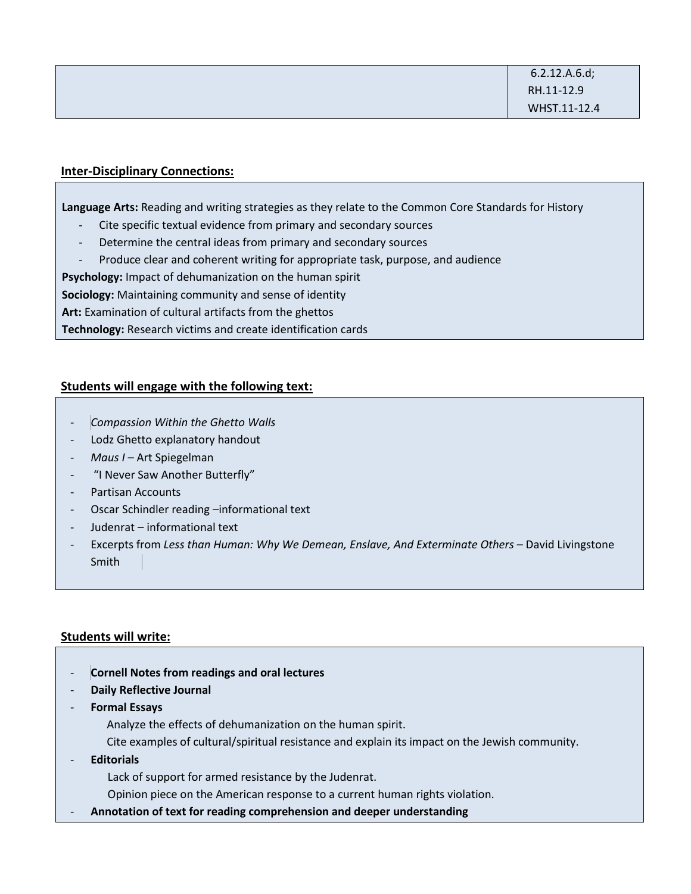#### **Inter-Disciplinary Connections:**

**Language Arts:** Reading and writing strategies as they relate to the Common Core Standards for History

- Cite specific textual evidence from primary and secondary sources
- Determine the central ideas from primary and secondary sources
- Produce clear and coherent writing for appropriate task, purpose, and audience

**Psychology:** Impact of dehumanization on the human spirit

**Sociology:** Maintaining community and sense of identity

**Art:** Examination of cultural artifacts from the ghettos

**Technology:** Research victims and create identification cards

#### **Students will engage with the following text:**

- *Compassion Within the Ghetto Walls*
- Lodz Ghetto explanatory handout
- *Maus I* Art Spiegelman
- "I Never Saw Another Butterfly"
- Partisan Accounts
- Oscar Schindler reading -informational text
- Judenrat informational text
- Excerpts from *Less than Human: Why We Demean, Enslave, And Exterminate Others* David Livingstone Smith

#### **Students will write:**

- **Cornell Notes from readings and oral lectures**
- **Daily Reflective Journal**
- **Formal Essays**
	- Analyze the effects of dehumanization on the human spirit.
	- Cite examples of cultural/spiritual resistance and explain its impact on the Jewish community.
- **Editorials**

Lack of support for armed resistance by the Judenrat.

Opinion piece on the American response to a current human rights violation.

- **Annotation of text for reading comprehension and deeper understanding**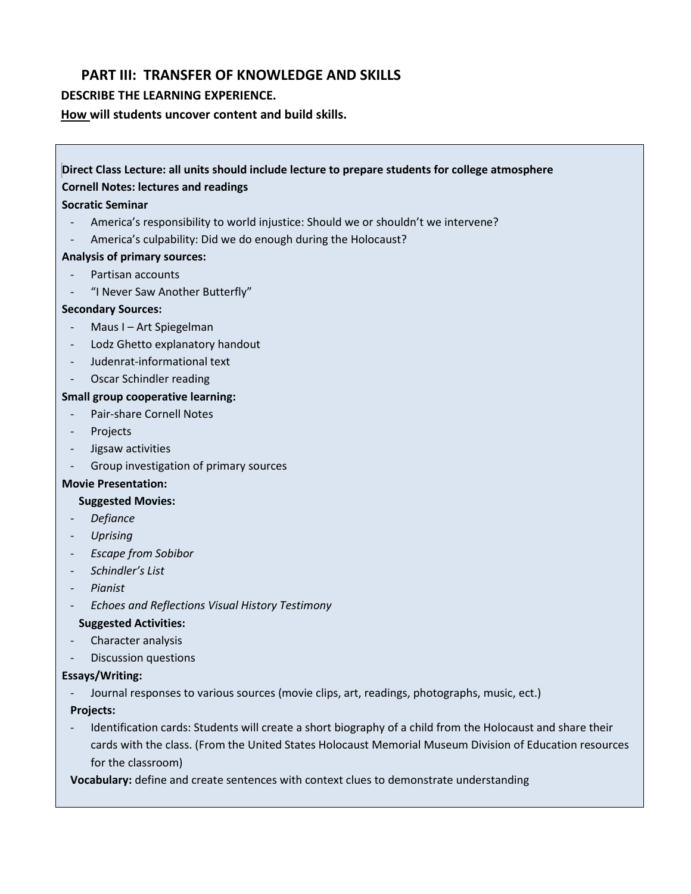## **PART III: TRANSFER OF KNOWLEDGE AND SKILLS**

#### **DESCRIBE THE LEARNING EXPERIENCE.**

**How will students uncover content and build skills.** 

# **Direct Class Lecture: all units should include lecture to prepare students for college atmosphere**

#### **Cornell Notes: lectures and readings**

#### **Socratic Seminar**

- America's responsibility to world injustice: Should we or shouldn't we intervene?
- America's culpability: Did we do enough during the Holocaust?

#### **Analysis of primary sources:**

- Partisan accounts
- "I Never Saw Another Butterfly"

#### **Secondary Sources:**

- Maus I Art Spiegelman
- Lodz Ghetto explanatory handout
- Judenrat-informational text
- Oscar Schindler reading

#### **Small group cooperative learning:**

- Pair-share Cornell Notes
- Projects
- Jigsaw activities
- Group investigation of primary sources

#### **Movie Presentation:**

#### **Suggested Movies:**

- *Defiance*
- *Uprising*
- *Escape from Sobibor*
- *Schindler's List*
- *Pianist*
- *Echoes and Reflections Visual History Testimony*

#### **Suggested Activities:**

- Character analysis
- Discussion questions

#### **Essays/Writing:**

- Journal responses to various sources (movie clips, art, readings, photographs, music, ect.)

#### **Projects:**

- Identification cards: Students will create a short biography of a child from the Holocaust and share their cards with the class. (From the United States Holocaust Memorial Museum Division of Education resources for the classroom)

**Vocabulary:** define and create sentences with context clues to demonstrate understanding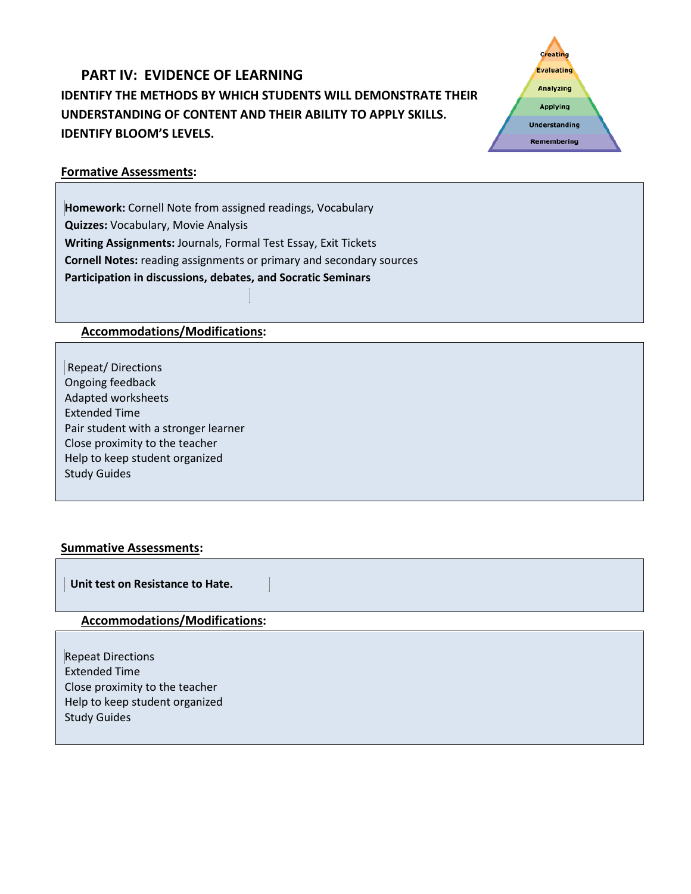# **PART IV: EVIDENCE OF LEARNING IDENTIFY THE METHODS BY WHICH STUDENTS WILL DEMONSTRATE THEIR UNDERSTANDING OF CONTENT AND THEIR ABILITY TO APPLY SKILLS. IDENTIFY BLOOM'S LEVELS.**



### **Formative Assessments:**

**Homework:** Cornell Note from assigned readings, Vocabulary **Quizzes:** Vocabulary, Movie Analysis **Writing Assignments:** Journals, Formal Test Essay, Exit Tickets **Cornell Notes:** reading assignments or primary and secondary sources **Participation in discussions, debates, and Socratic Seminars**

### **Accommodations/Modifications:**

Repeat/ Directions Ongoing feedback Adapted worksheets Extended Time Pair student with a stronger learner Close proximity to the teacher Help to keep student organized Study Guides

### **Summative Assessments:**

 **Unit test on Resistance to Hate.**

#### **Accommodations/Modifications:**

Repeat Directions Extended Time Close proximity to the teacher Help to keep student organized Study Guides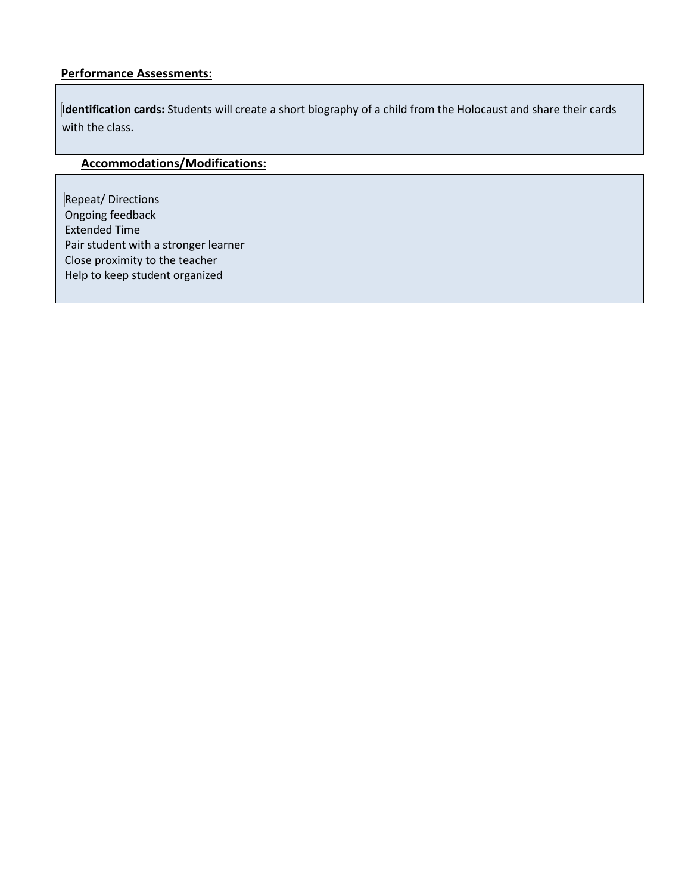#### **Performance Assessments:**

**Identification cards:** Students will create a short biography of a child from the Holocaust and share their cards with the class.

# **Accommodations/Modifications:**

Repeat/ Directions Ongoing feedback Extended Time Pair student with a stronger learner Close proximity to the teacher Help to keep student organized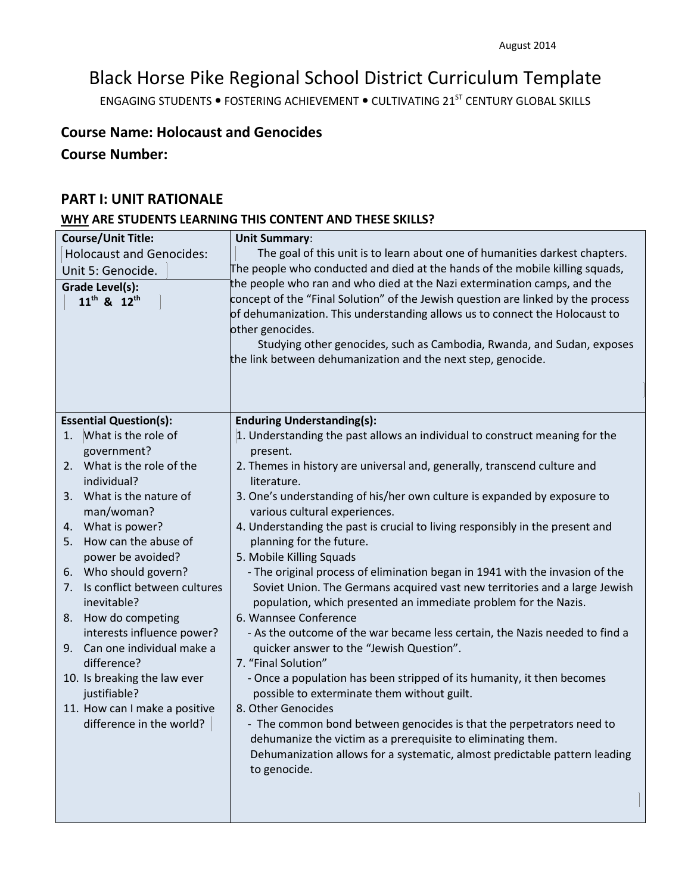# Black Horse Pike Regional School District Curriculum Template

ENGAGING STUDENTS . FOSTERING ACHIEVEMENT . CULTIVATING 21<sup>ST</sup> CENTURY GLOBAL SKILLS

# **Course Name: Holocaust and Genocides**

**Course Number:**

### **PART I: UNIT RATIONALE**

# **WHY ARE STUDENTS LEARNING THIS CONTENT AND THESE SKILLS?**

| <b>Course/Unit Title:</b>           | <b>Unit Summary:</b>                                                                                                                 |
|-------------------------------------|--------------------------------------------------------------------------------------------------------------------------------------|
| <b>Holocaust and Genocides:</b>     | The goal of this unit is to learn about one of humanities darkest chapters.                                                          |
| Unit 5: Genocide.                   | The people who conducted and died at the hands of the mobile killing squads,                                                         |
| Grade Level(s):                     | the people who ran and who died at the Nazi extermination camps, and the                                                             |
| 11 <sup>th</sup> & 12 <sup>th</sup> | concept of the "Final Solution" of the Jewish question are linked by the process                                                     |
|                                     | of dehumanization. This understanding allows us to connect the Holocaust to                                                          |
|                                     | other genocides.                                                                                                                     |
|                                     | Studying other genocides, such as Cambodia, Rwanda, and Sudan, exposes                                                               |
|                                     | the link between dehumanization and the next step, genocide.                                                                         |
|                                     |                                                                                                                                      |
|                                     |                                                                                                                                      |
| <b>Essential Question(s):</b>       | <b>Enduring Understanding(s):</b>                                                                                                    |
| What is the role of<br>1.           | 1. Understanding the past allows an individual to construct meaning for the                                                          |
| government?                         | present.                                                                                                                             |
| What is the role of the<br>2.       | 2. Themes in history are universal and, generally, transcend culture and                                                             |
| individual?                         | literature.                                                                                                                          |
| 3. What is the nature of            | 3. One's understanding of his/her own culture is expanded by exposure to                                                             |
| man/woman?                          | various cultural experiences.                                                                                                        |
| What is power?<br>4.                | 4. Understanding the past is crucial to living responsibly in the present and                                                        |
| 5. How can the abuse of             | planning for the future.                                                                                                             |
| power be avoided?                   | 5. Mobile Killing Squads                                                                                                             |
| 6. Who should govern?               | - The original process of elimination began in 1941 with the invasion of the                                                         |
| Is conflict between cultures<br>7.  | Soviet Union. The Germans acquired vast new territories and a large Jewish                                                           |
| inevitable?                         | population, which presented an immediate problem for the Nazis.                                                                      |
| 8. How do competing                 | 6. Wannsee Conference                                                                                                                |
| interests influence power?          | - As the outcome of the war became less certain, the Nazis needed to find a                                                          |
| 9. Can one individual make a        | quicker answer to the "Jewish Question".                                                                                             |
| difference?                         | 7. "Final Solution"                                                                                                                  |
| 10. Is breaking the law ever        | - Once a population has been stripped of its humanity, it then becomes                                                               |
| justifiable?                        | possible to exterminate them without guilt.                                                                                          |
| 11. How can I make a positive       | 8. Other Genocides                                                                                                                   |
| difference in the world?            | - The common bond between genocides is that the perpetrators need to<br>dehumanize the victim as a prerequisite to eliminating them. |
|                                     | Dehumanization allows for a systematic, almost predictable pattern leading                                                           |
|                                     | to genocide.                                                                                                                         |
|                                     |                                                                                                                                      |
|                                     |                                                                                                                                      |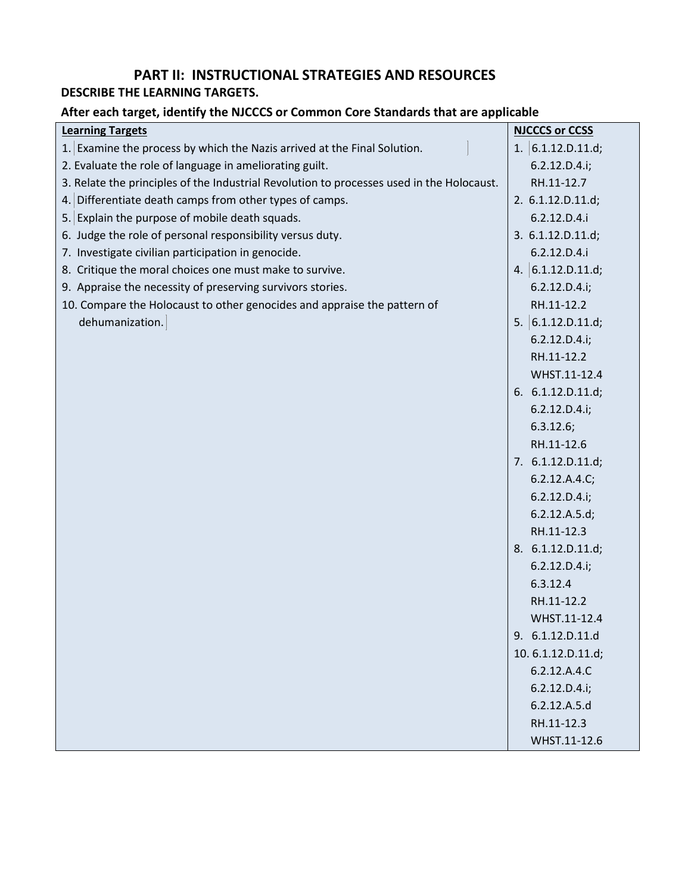# **PART II: INSTRUCTIONAL STRATEGIES AND RESOURCES**

# **DESCRIBE THE LEARNING TARGETS.**

# **After each target, identify the NJCCCS or Common Core Standards that are applicable**

| <b>Learning Targets</b>                                                                   | <b>NJCCCS or CCSS</b> |
|-------------------------------------------------------------------------------------------|-----------------------|
| 1. Examine the process by which the Nazis arrived at the Final Solution.                  | 1. $6.1.12.D.11.d;$   |
| 2. Evaluate the role of language in ameliorating guilt.                                   | 6.2.12.D.4.i;         |
| 3. Relate the principles of the Industrial Revolution to processes used in the Holocaust. | RH.11-12.7            |
| 4. Differentiate death camps from other types of camps.                                   | 2. 6.1.12.D.11.d;     |
| 5. Explain the purpose of mobile death squads.                                            | 6.2.12.D.4.i          |
| 6. Judge the role of personal responsibility versus duty.                                 | 3. 6.1.12.D.11.d;     |
| 7. Investigate civilian participation in genocide.                                        | 6.2.12.D.4.i          |
| 8. Critique the moral choices one must make to survive.                                   | 4. $6.1.12.D.11.d;$   |
| 9. Appraise the necessity of preserving survivors stories.                                | 6.2.12.D.4.i;         |
| 10. Compare the Holocaust to other genocides and appraise the pattern of                  | RH.11-12.2            |
| dehumanization.                                                                           | 5. $6.1.12.D.11.d;$   |
|                                                                                           | 6.2.12.D.4.i;         |
|                                                                                           | RH.11-12.2            |
|                                                                                           | WHST.11-12.4          |
|                                                                                           | 6. 6.1.12.D.11.d;     |
|                                                                                           | 6.2.12.D.4.i;         |
|                                                                                           | 6.3.12.6;             |
|                                                                                           | RH.11-12.6            |
|                                                                                           | 7. 6.1.12.D.11.d;     |
|                                                                                           | 6.2.12.A.4.C;         |
|                                                                                           | 6.2.12.D.4.i;         |
|                                                                                           | 6.2.12.A.5.d;         |
|                                                                                           | RH.11-12.3            |
|                                                                                           | 8. 6.1.12.D.11.d;     |
|                                                                                           | 6.2.12.D.4.i;         |
|                                                                                           | 6.3.12.4              |
|                                                                                           | RH.11-12.2            |
|                                                                                           | WHST.11-12.4          |
|                                                                                           | 9. 6.1.12.D.11.d      |
|                                                                                           | 10.6.1.12.D.11.d;     |
|                                                                                           | 6.2.12.A.4.C          |
|                                                                                           | 6.2.12.D.4.i;         |
|                                                                                           | 6.2.12.A.5.d          |
|                                                                                           | RH.11-12.3            |
|                                                                                           | WHST.11-12.6          |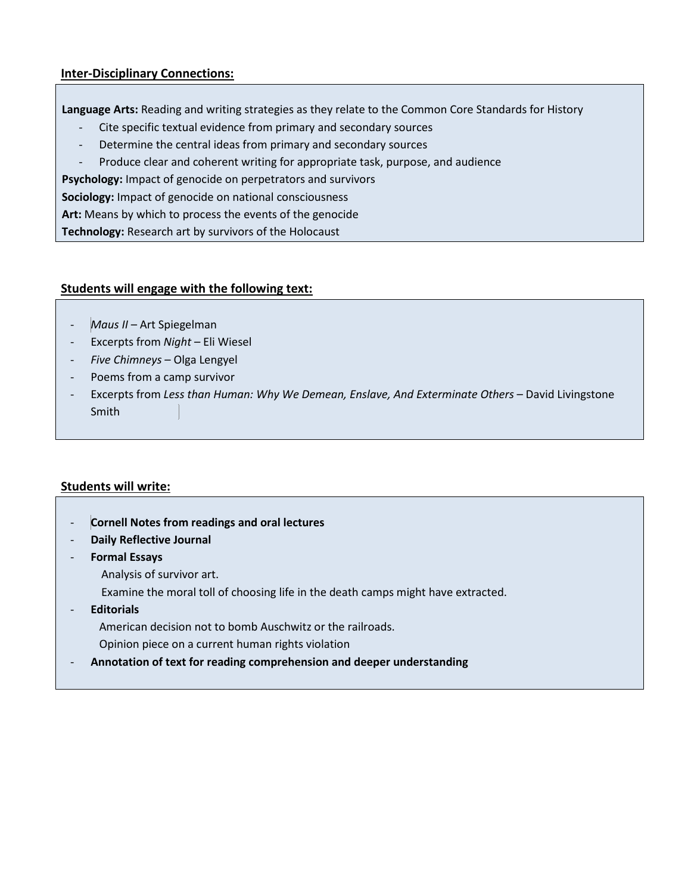#### **Inter-Disciplinary Connections:**

**Language Arts:** Reading and writing strategies as they relate to the Common Core Standards for History

- Cite specific textual evidence from primary and secondary sources
- Determine the central ideas from primary and secondary sources
- Produce clear and coherent writing for appropriate task, purpose, and audience

**Psychology:** Impact of genocide on perpetrators and survivors

**Sociology:** Impact of genocide on national consciousness

**Art:** Means by which to process the events of the genocide

**Technology:** Research art by survivors of the Holocaust

#### **Students will engage with the following text:**

- *Maus II*  Art Spiegelman
- Excerpts from *Night* Eli Wiesel
- *Five Chimneys* Olga Lengyel
- Poems from a camp survivor
- Excerpts from *Less than Human: Why We Demean, Enslave, And Exterminate Others* David Livingstone Smith

#### **Students will write:**

- **Cornell Notes from readings and oral lectures**
- **Daily Reflective Journal**
- **Formal Essays**
	- Analysis of survivor art.
	- Examine the moral toll of choosing life in the death camps might have extracted.
- **Editorials**

American decision not to bomb Auschwitz or the railroads.

- Opinion piece on a current human rights violation
- **Annotation of text for reading comprehension and deeper understanding**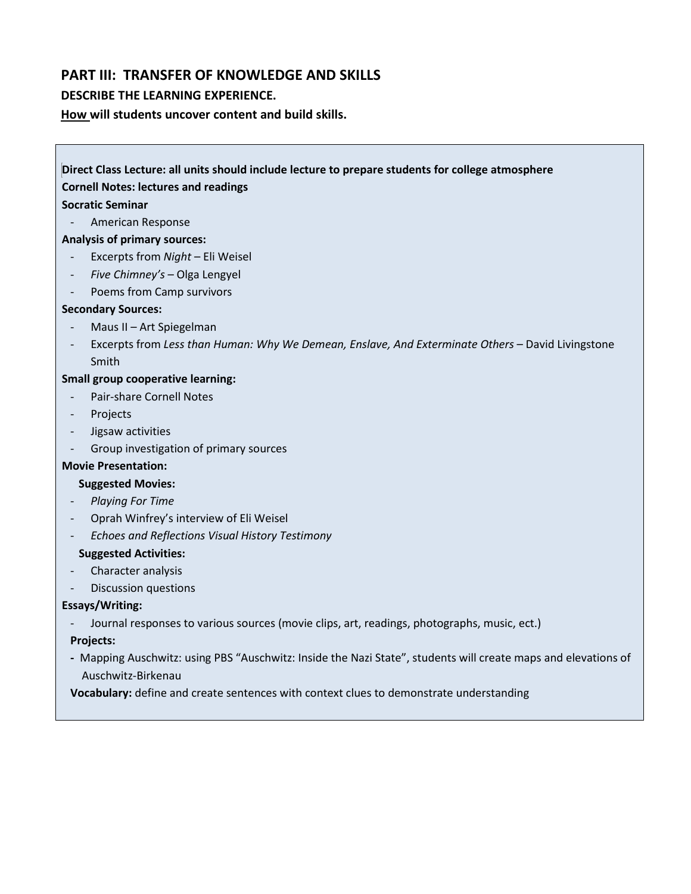## **PART III: TRANSFER OF KNOWLEDGE AND SKILLS**

#### **DESCRIBE THE LEARNING EXPERIENCE.**

**How will students uncover content and build skills.** 

# **Direct Class Lecture: all units should include lecture to prepare students for college atmosphere Cornell Notes: lectures and readings Socratic Seminar** - American Response **Analysis of primary sources:** - Excerpts from *Night* – Eli Weisel - *Five Chimney's* – Olga Lengyel Poems from Camp survivors **Secondary Sources:** - Maus II – Art Spiegelman

Excerpts from Less than Human: Why We Demean, Enslave, And Exterminate Others - David Livingstone Smith

#### **Small group cooperative learning:**

- Pair-share Cornell Notes
- Projects
- Jigsaw activities
- Group investigation of primary sources

#### **Movie Presentation:**

#### **Suggested Movies:**

- *Playing For Time*
- Oprah Winfrey's interview of Eli Weisel
- *Echoes and Reflections Visual History Testimony*

#### **Suggested Activities:**

- Character analysis
- Discussion questions

#### **Essays/Writing:**

Journal responses to various sources (movie clips, art, readings, photographs, music, ect.)

#### **Projects:**

**-** Mapping Auschwitz: using PBS "Auschwitz: Inside the Nazi State", students will create maps and elevations of Auschwitz-Birkenau

**Vocabulary:** define and create sentences with context clues to demonstrate understanding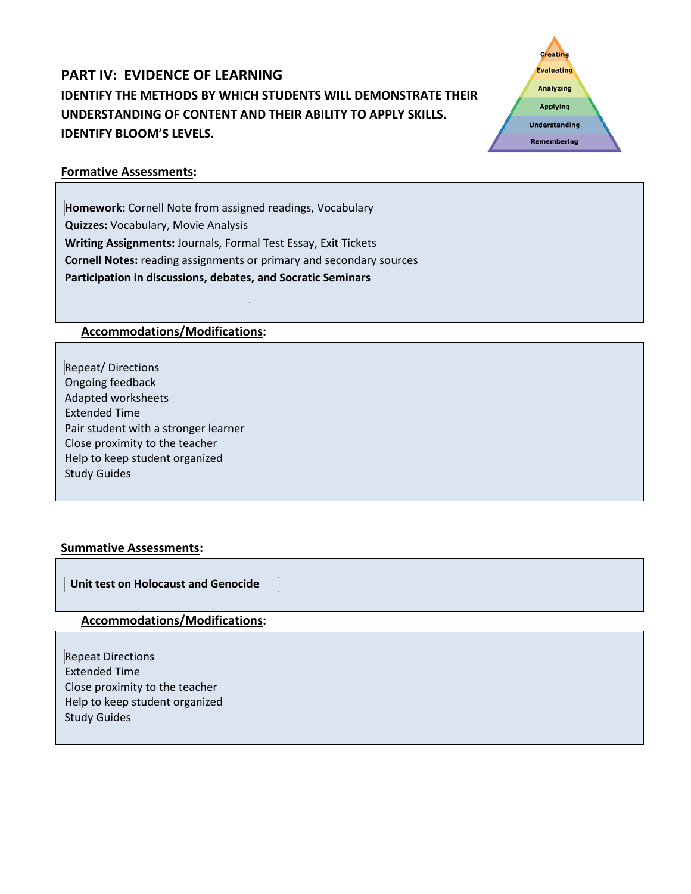# **PART IV: EVIDENCE OF LEARNING IDENTIFY THE METHODS BY WHICH STUDENTS WILL DEMONSTRATE THEIR UNDERSTANDING OF CONTENT AND THEIR ABILITY TO APPLY SKILLS. IDENTIFY BLOOM'S LEVELS.**



### **Formative Assessments:**

**Homework:** Cornell Note from assigned readings, Vocabulary **Quizzes:** Vocabulary, Movie Analysis **Writing Assignments:** Journals, Formal Test Essay, Exit Tickets **Cornell Notes:** reading assignments or primary and secondary sources **Participation in discussions, debates, and Socratic Seminars**

### **Accommodations/Modifications:**

Repeat/ Directions Ongoing feedback Adapted worksheets Extended Time Pair student with a stronger learner Close proximity to the teacher Help to keep student organized Study Guides

#### **Summative Assessments:**

 **Unit test on Holocaust and Genocide** 

#### **Accommodations/Modifications:**

Repeat Directions Extended Time Close proximity to the teacher Help to keep student organized Study Guides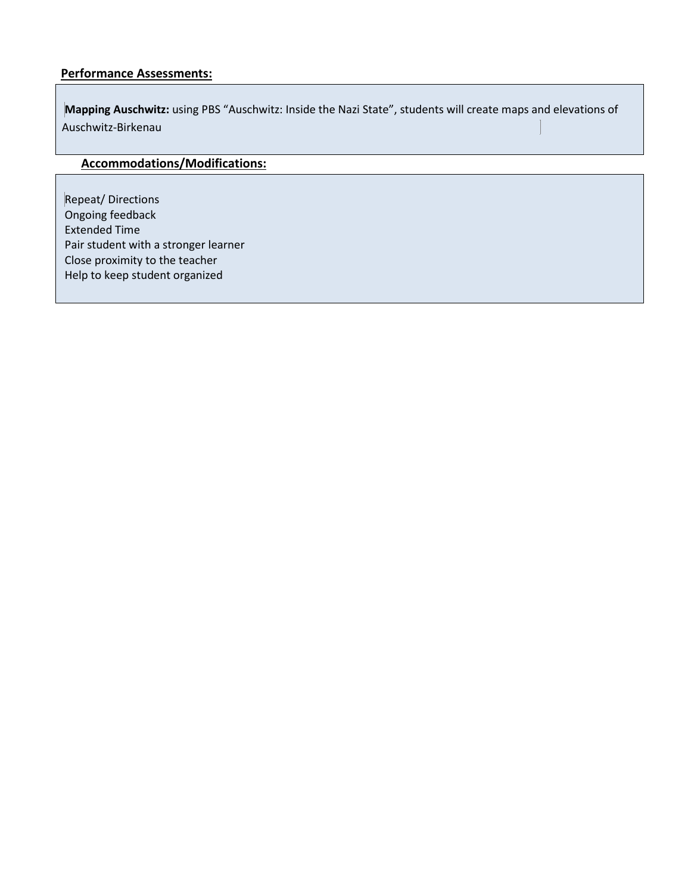#### **Performance Assessments:**

**Mapping Auschwitz:** using PBS "Auschwitz: Inside the Nazi State", students will create maps and elevations of Auschwitz-Birkenau

# **Accommodations/Modifications:**

Repeat/ Directions Ongoing feedback Extended Time Pair student with a stronger learner Close proximity to the teacher Help to keep student organized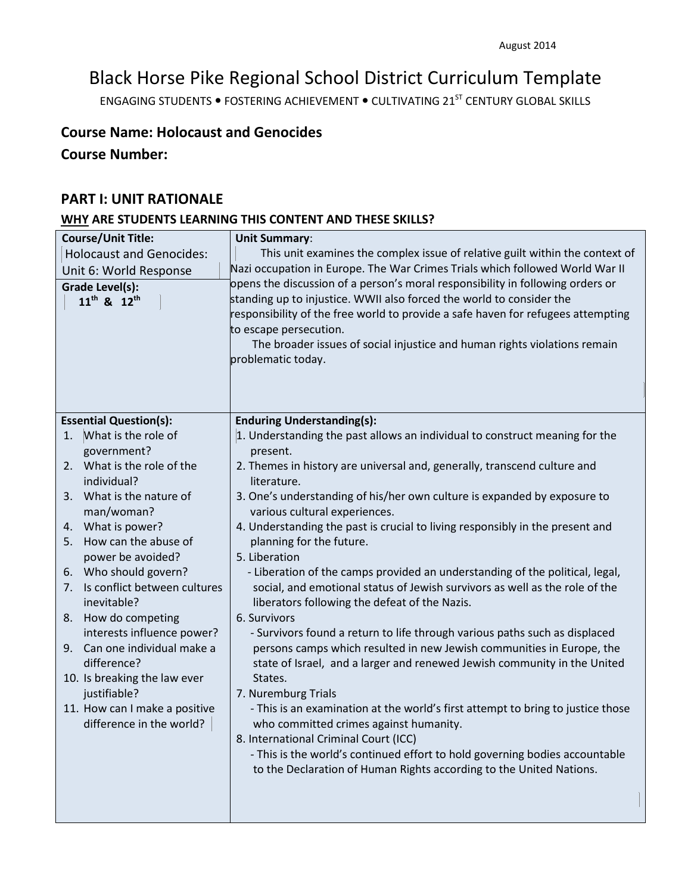# Black Horse Pike Regional School District Curriculum Template

ENGAGING STUDENTS . FOSTERING ACHIEVEMENT . CULTIVATING 21<sup>ST</sup> CENTURY GLOBAL SKILLS

# **Course Name: Holocaust and Genocides**

**Course Number:**

### **PART I: UNIT RATIONALE**

# **WHY ARE STUDENTS LEARNING THIS CONTENT AND THESE SKILLS?**

| <b>Course/Unit Title:</b>                            | <b>Unit Summary:</b>                                                                                                                                |
|------------------------------------------------------|-----------------------------------------------------------------------------------------------------------------------------------------------------|
| <b>Holocaust and Genocides:</b>                      | This unit examines the complex issue of relative guilt within the context of                                                                        |
| Unit 6: World Response                               | Nazi occupation in Europe. The War Crimes Trials which followed World War II                                                                        |
| <b>Grade Level(s):</b>                               | opens the discussion of a person's moral responsibility in following orders or                                                                      |
| 11 <sup>th</sup> & 12 <sup>th</sup>                  | standing up to injustice. WWII also forced the world to consider the                                                                                |
|                                                      | responsibility of the free world to provide a safe haven for refugees attempting                                                                    |
|                                                      | to escape persecution.                                                                                                                              |
|                                                      | The broader issues of social injustice and human rights violations remain                                                                           |
|                                                      | problematic today.                                                                                                                                  |
|                                                      |                                                                                                                                                     |
|                                                      |                                                                                                                                                     |
| <b>Essential Question(s):</b>                        | <b>Enduring Understanding(s):</b>                                                                                                                   |
| What is the role of<br>1.                            | 1. Understanding the past allows an individual to construct meaning for the                                                                         |
| government?                                          | present.                                                                                                                                            |
| 2. What is the role of the                           | 2. Themes in history are universal and, generally, transcend culture and                                                                            |
| individual?                                          | literature.                                                                                                                                         |
| 3. What is the nature of                             | 3. One's understanding of his/her own culture is expanded by exposure to                                                                            |
| man/woman?                                           | various cultural experiences.                                                                                                                       |
| 4. What is power?                                    | 4. Understanding the past is crucial to living responsibly in the present and                                                                       |
| 5. How can the abuse of                              | planning for the future.                                                                                                                            |
| power be avoided?                                    | 5. Liberation                                                                                                                                       |
| 6. Who should govern?                                | - Liberation of the camps provided an understanding of the political, legal,                                                                        |
| Is conflict between cultures<br>7.                   | social, and emotional status of Jewish survivors as well as the role of the                                                                         |
| inevitable?                                          | liberators following the defeat of the Nazis.                                                                                                       |
| How do competing<br>8.<br>interests influence power? | 6. Survivors                                                                                                                                        |
| 9. Can one individual make a                         | - Survivors found a return to life through various paths such as displaced<br>persons camps which resulted in new Jewish communities in Europe, the |
| difference?                                          | state of Israel, and a larger and renewed Jewish community in the United                                                                            |
| 10. Is breaking the law ever                         | States.                                                                                                                                             |
| justifiable?                                         | 7. Nuremburg Trials                                                                                                                                 |
| 11. How can I make a positive                        | - This is an examination at the world's first attempt to bring to justice those                                                                     |
| difference in the world?                             | who committed crimes against humanity.                                                                                                              |
|                                                      | 8. International Criminal Court (ICC)                                                                                                               |
|                                                      | - This is the world's continued effort to hold governing bodies accountable                                                                         |
|                                                      | to the Declaration of Human Rights according to the United Nations.                                                                                 |
|                                                      |                                                                                                                                                     |
|                                                      |                                                                                                                                                     |
|                                                      |                                                                                                                                                     |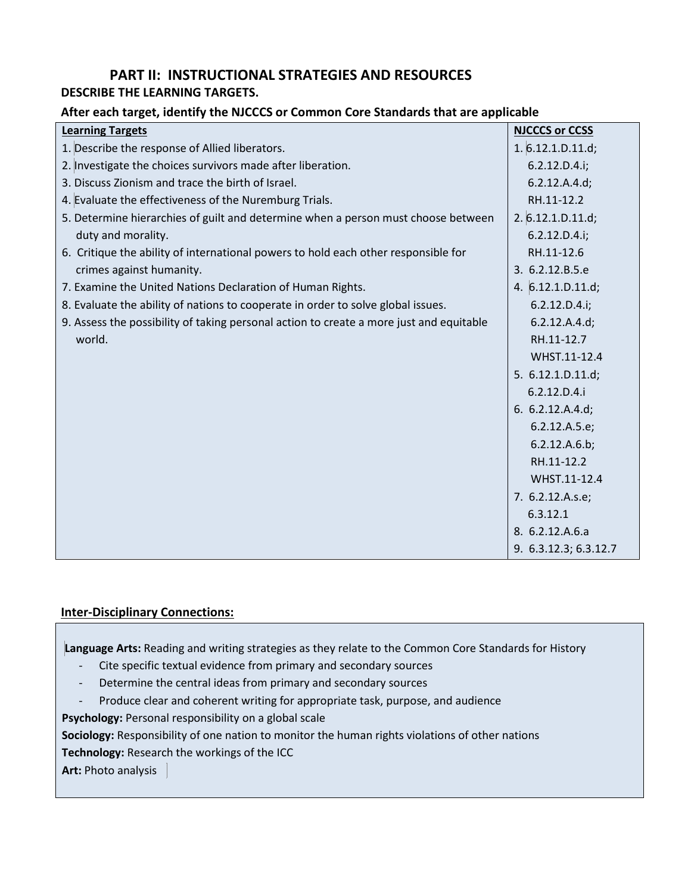# **PART II: INSTRUCTIONAL STRATEGIES AND RESOURCES**

### **DESCRIBE THE LEARNING TARGETS.**

#### **After each target, identify the NJCCCS or Common Core Standards that are applicable**

| <b>Learning Targets</b>                                                                 | <b>NJCCCS or CCSS</b> |
|-----------------------------------------------------------------------------------------|-----------------------|
| 1. Describe the response of Allied liberators.                                          | 1.6.12.1.D.11.d;      |
| 2. Investigate the choices survivors made after liberation.                             | 6.2.12.D.4.i;         |
| 3. Discuss Zionism and trace the birth of Israel.                                       | 6.2.12.A.4.d;         |
| 4. Evaluate the effectiveness of the Nuremburg Trials.                                  | RH.11-12.2            |
| 5. Determine hierarchies of guilt and determine when a person must choose between       | 2.6.12.1.D.11.d;      |
| duty and morality.                                                                      | 6.2.12.D.4.i;         |
| 6. Critique the ability of international powers to hold each other responsible for      | RH.11-12.6            |
| crimes against humanity.                                                                | 3. 6.2.12.B.5.e       |
| 7. Examine the United Nations Declaration of Human Rights.                              | 4. $6.12.1.D.11.d;$   |
| 8. Evaluate the ability of nations to cooperate in order to solve global issues.        | 6.2.12.D.4.i;         |
| 9. Assess the possibility of taking personal action to create a more just and equitable | 6.2.12.A.4.d;         |
| world.                                                                                  | RH.11-12.7            |
|                                                                                         | WHST.11-12.4          |
|                                                                                         | 5. 6.12.1.D.11.d;     |
|                                                                                         | 6.2.12.D.4.i          |
|                                                                                         | 6. $6.2.12.A.4.d;$    |
|                                                                                         | 6.2.12.A.5.e;         |
|                                                                                         | 6.2.12.A.6.b;         |
|                                                                                         | RH.11-12.2            |
|                                                                                         | WHST.11-12.4          |
|                                                                                         | 7. 6.2.12.A.s.e;      |
|                                                                                         | 6.3.12.1              |
|                                                                                         | 8. 6.2.12.A.6.a       |
|                                                                                         | 9. 6.3.12.3; 6.3.12.7 |

#### **Inter-Disciplinary Connections:**

**Language Arts:** Reading and writing strategies as they relate to the Common Core Standards for History

- Cite specific textual evidence from primary and secondary sources
- Determine the central ideas from primary and secondary sources
- Produce clear and coherent writing for appropriate task, purpose, and audience

**Psychology:** Personal responsibility on a global scale

**Sociology:** Responsibility of one nation to monitor the human rights violations of other nations

**Technology:** Research the workings of the ICC

**Art:** Photo analysis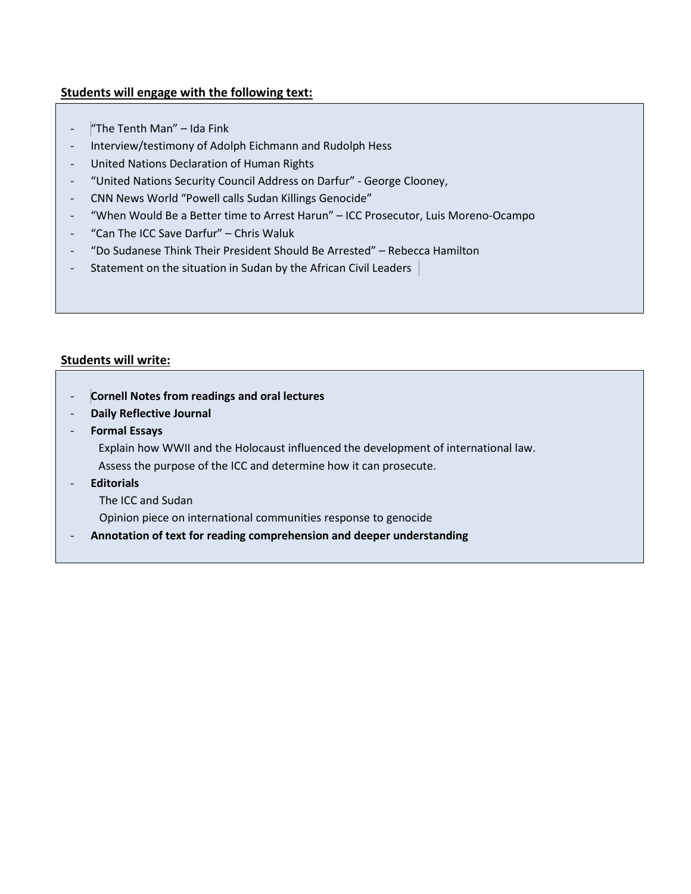### **Students will engage with the following text:**

- "The Tenth Man" Ida Fink
- Interview/testimony of Adolph Eichmann and Rudolph Hess
- United Nations Declaration of Human Rights
- "United Nations Security Council Address on Darfur" George Clooney,
- CNN News World "Powell calls Sudan Killings Genocide"
- "When Would Be a Better time to Arrest Harun" ICC Prosecutor, Luis Moreno-Ocampo
- "Can The ICC Save Darfur" Chris Waluk
- "Do Sudanese Think Their President Should Be Arrested" Rebecca Hamilton
- Statement on the situation in Sudan by the African Civil Leaders

#### **Students will write:**

- **Cornell Notes from readings and oral lectures**
- **Daily Reflective Journal**
- **Formal Essays**
	- Explain how WWII and the Holocaust influenced the development of international law.
	- Assess the purpose of the ICC and determine how it can prosecute.
- **Editorials** 
	- The ICC and Sudan
	- Opinion piece on international communities response to genocide
- **Annotation of text for reading comprehension and deeper understanding**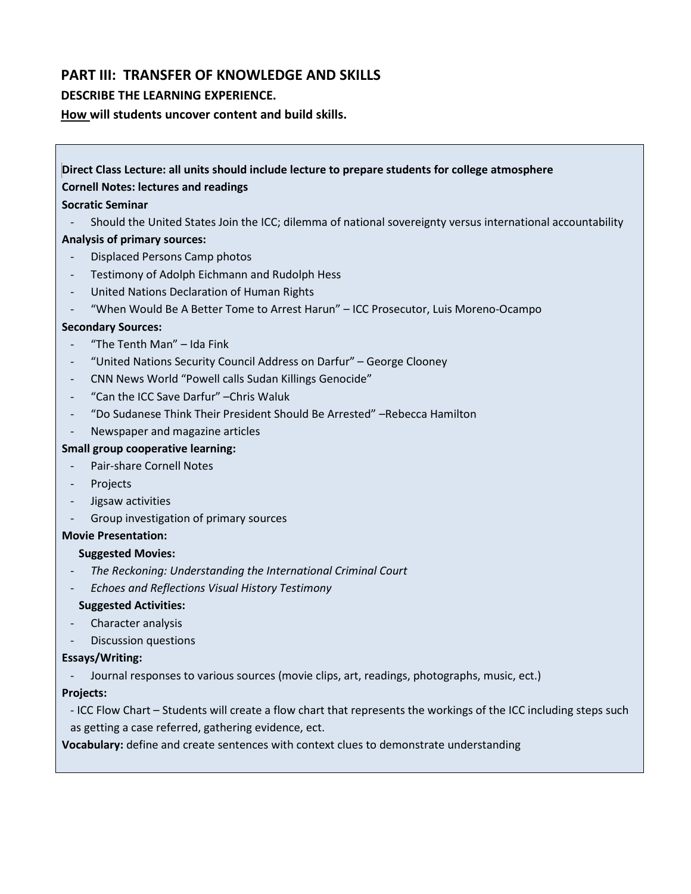## **PART III: TRANSFER OF KNOWLEDGE AND SKILLS**

#### **DESCRIBE THE LEARNING EXPERIENCE.**

**How will students uncover content and build skills.** 

# **Direct Class Lecture: all units should include lecture to prepare students for college atmosphere**

#### **Cornell Notes: lectures and readings**

#### **Socratic Seminar**

- Should the United States Join the ICC; dilemma of national sovereignty versus international accountability

#### **Analysis of primary sources:**

- Displaced Persons Camp photos
- Testimony of Adolph Eichmann and Rudolph Hess
- United Nations Declaration of Human Rights
- "When Would Be A Better Tome to Arrest Harun" ICC Prosecutor, Luis Moreno-Ocampo

#### **Secondary Sources:**

- "The Tenth Man" Ida Fink
- "United Nations Security Council Address on Darfur" George Clooney
- CNN News World "Powell calls Sudan Killings Genocide"
- "Can the ICC Save Darfur" –Chris Waluk
- "Do Sudanese Think Their President Should Be Arrested" –Rebecca Hamilton
- Newspaper and magazine articles

#### **Small group cooperative learning:**

- Pair-share Cornell Notes
- Projects
- Jigsaw activities
- Group investigation of primary sources

#### **Movie Presentation:**

#### **Suggested Movies:**

- *The Reckoning: Understanding the International Criminal Court*
- *Echoes and Reflections Visual History Testimony*

#### **Suggested Activities:**

- Character analysis
- Discussion questions

#### **Essays/Writing:**

Journal responses to various sources (movie clips, art, readings, photographs, music, ect.)

#### **Projects:**

- ICC Flow Chart – Students will create a flow chart that represents the workings of the ICC including steps such as getting a case referred, gathering evidence, ect.

**Vocabulary:** define and create sentences with context clues to demonstrate understanding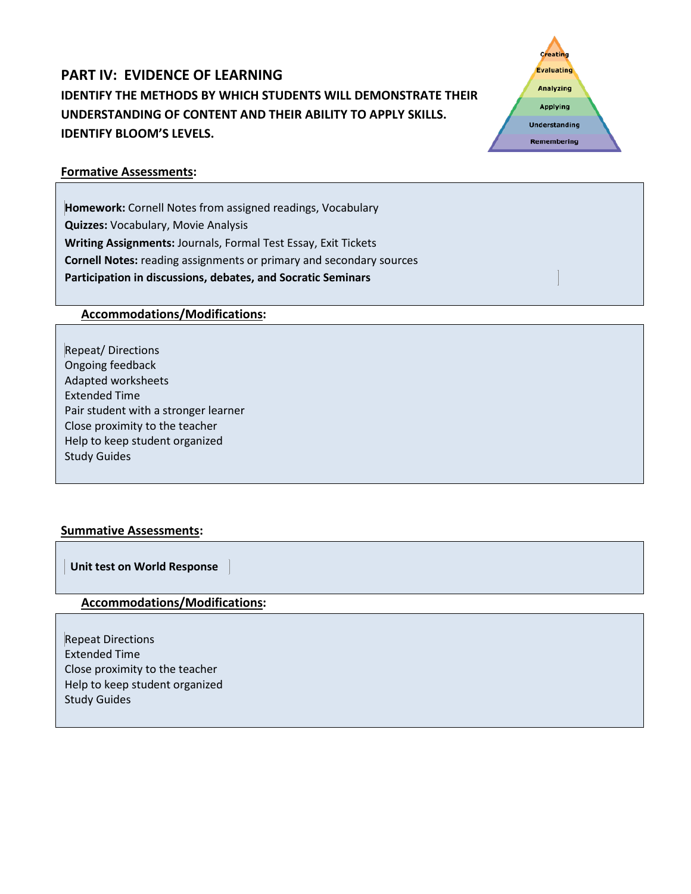# **PART IV: EVIDENCE OF LEARNING IDENTIFY THE METHODS BY WHICH STUDENTS WILL DEMONSTRATE THEIR UNDERSTANDING OF CONTENT AND THEIR ABILITY TO APPLY SKILLS. IDENTIFY BLOOM'S LEVELS.**



#### **Formative Assessments:**

**Homework:** Cornell Notes from assigned readings, Vocabulary **Quizzes:** Vocabulary, Movie Analysis **Writing Assignments:** Journals, Formal Test Essay, Exit Tickets **Cornell Notes:** reading assignments or primary and secondary sources **Participation in discussions, debates, and Socratic Seminars** 

### **Accommodations/Modifications:**

Repeat/ Directions Ongoing feedback Adapted worksheets Extended Time Pair student with a stronger learner Close proximity to the teacher Help to keep student organized Study Guides

### **Summative Assessments:**

 **Unit test on World Response**

#### **Accommodations/Modifications:**

Repeat Directions Extended Time Close proximity to the teacher Help to keep student organized Study Guides